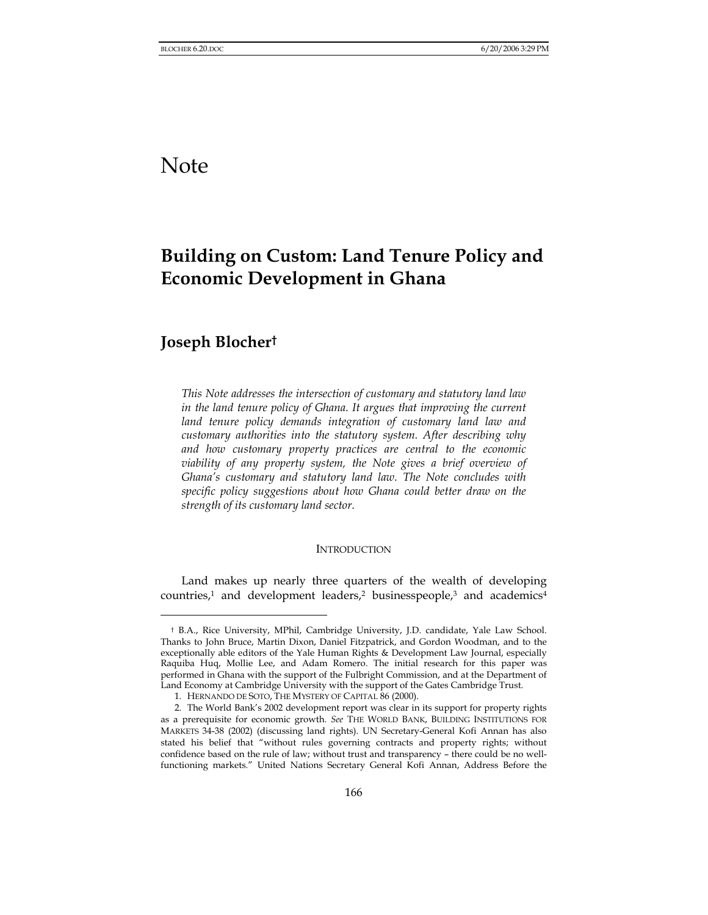# Note

## **Building on Custom: Land Tenure Policy and Economic Development in Ghana**

## **Joseph Blocher†**

l

*This Note addresses the intersection of customary and statutory land law*  in the land tenure policy of Ghana. It argues that improving the current *land tenure policy demands integration of customary land law and customary authorities into the statutory system. After describing why and how customary property practices are central to the economic viability of any property system, the Note gives a brief overview of Ghana's customary and statutory land law. The Note concludes with specific policy suggestions about how Ghana could better draw on the strength of its customary land sector.* 

#### **INTRODUCTION**

Land makes up nearly three quarters of the wealth of developing countries,<sup>1</sup> and development leaders,<sup>2</sup> businesspeople,<sup>3</sup> and academics<sup>4</sup>

<sup>†</sup> B.A., Rice University, MPhil, Cambridge University, J.D. candidate, Yale Law School. Thanks to John Bruce, Martin Dixon, Daniel Fitzpatrick, and Gordon Woodman, and to the exceptionally able editors of the Yale Human Rights & Development Law Journal, especially Raquiba Huq, Mollie Lee, and Adam Romero. The initial research for this paper was performed in Ghana with the support of the Fulbright Commission, and at the Department of Land Economy at Cambridge University with the support of the Gates Cambridge Trust.

<sup>1.</sup> HERNANDO DE SOTO, THE MYSTERY OF CAPITAL 86 (2000).

<sup>2.</sup> The World Bank's 2002 development report was clear in its support for property rights as a prerequisite for economic growth. *See* THE WORLD BANK, BUILDING INSTITUTIONS FOR MARKETS 34-38 (2002) (discussing land rights). UN Secretary-General Kofi Annan has also stated his belief that "without rules governing contracts and property rights; without confidence based on the rule of law; without trust and transparency – there could be no wellfunctioning markets." United Nations Secretary General Kofi Annan, Address Before the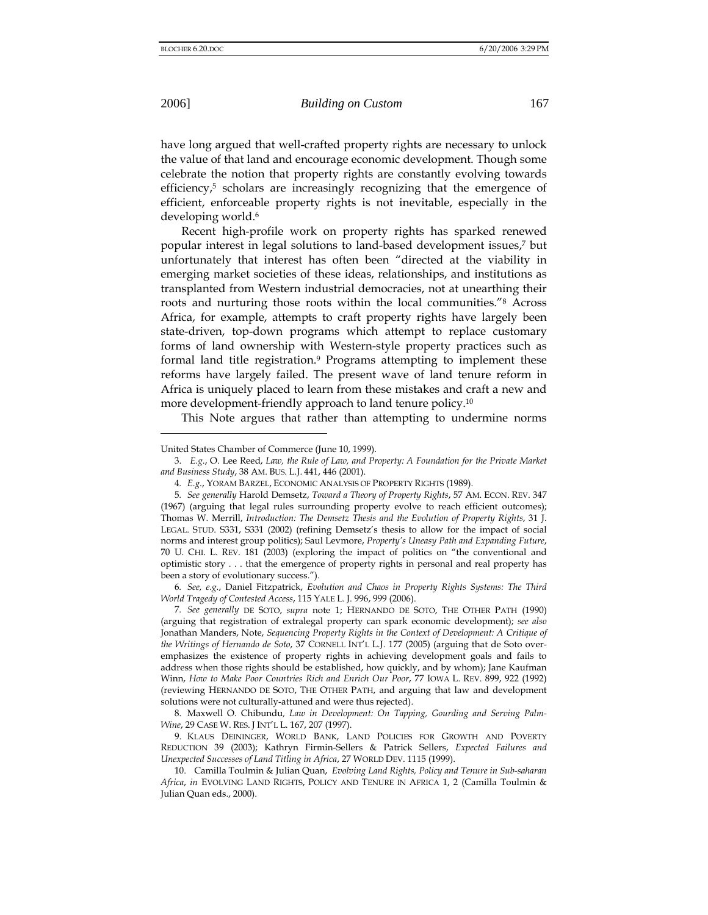l

have long argued that well-crafted property rights are necessary to unlock the value of that land and encourage economic development. Though some celebrate the notion that property rights are constantly evolving towards efficiency, $5$  scholars are increasingly recognizing that the emergence of efficient, enforceable property rights is not inevitable, especially in the developing world.<sup>6</sup>

Recent high-profile work on property rights has sparked renewed popular interest in legal solutions to land-based development issues,7 but unfortunately that interest has often been "directed at the viability in emerging market societies of these ideas, relationships, and institutions as transplanted from Western industrial democracies, not at unearthing their roots and nurturing those roots within the local communities."8 Across Africa, for example, attempts to craft property rights have largely been state-driven, top-down programs which attempt to replace customary forms of land ownership with Western-style property practices such as formal land title registration.9 Programs attempting to implement these reforms have largely failed. The present wave of land tenure reform in Africa is uniquely placed to learn from these mistakes and craft a new and more development-friendly approach to land tenure policy.10

This Note argues that rather than attempting to undermine norms

6*. See, e.g.*, Daniel Fitzpatrick, *Evolution and Chaos in Property Rights Systems: The Third World Tragedy of Contested Access*, 115 YALE L. J. 996, 999 (2006).

7*. See generally* DE SOTO, *supra* note 1; HERNANDO DE SOTO, THE OTHER PATH (1990) (arguing that registration of extralegal property can spark economic development); *see also* Jonathan Manders, Note, *Sequencing Property Rights in the Context of Development: A Critique of the Writings of Hernando de Soto*, 37 CORNELL INT'L L.J. 177 (2005) (arguing that de Soto overemphasizes the existence of property rights in achieving development goals and fails to address when those rights should be established, how quickly, and by whom); Jane Kaufman Winn, *How to Make Poor Countries Rich and Enrich Our Poor*, 77 IOWA L. REV. 899, 922 (1992) (reviewing HERNANDO DE SOTO, THE OTHER PATH, and arguing that law and development solutions were not culturally-attuned and were thus rejected).

8. Maxwell O. Chibundu*, Law in Development: On Tapping, Gourding and Serving Palm-Wine*, 29 CASE W. RES. J INT'L L. 167, 207 (1997).

9. KLAUS DEININGER, WORLD BANK, LAND POLICIES FOR GROWTH AND POVERTY REDUCTION 39 (2003); Kathryn Firmin-Sellers & Patrick Sellers, *Expected Failures and Unexpected Successes of Land Titling in Africa*, 27 WORLD DEV. 1115 (1999).

10. Camilla Toulmin & Julian Quan, *Evolving Land Rights, Policy and Tenure in Sub-saharan Africa*, *in* EVOLVING LAND RIGHTS, POLICY AND TENURE IN AFRICA 1, 2 (Camilla Toulmin & Julian Quan eds., 2000).

United States Chamber of Commerce (June 10, 1999).

<sup>3.</sup> *E.g.*, O. Lee Reed, *Law, the Rule of Law, and Property: A Foundation for the Private Market and Business Study*, 38 AM. BUS. L.J. 441, 446 (2001).

<sup>4</sup>*. E.g.*, YORAM BARZEL, ECONOMIC ANALYSIS OF PROPERTY RIGHTS (1989).

<sup>5</sup>*. See generally* Harold Demsetz, *Toward a Theory of Property Rights*, 57 AM. ECON. REV. 347 (1967) (arguing that legal rules surrounding property evolve to reach efficient outcomes); Thomas W. Merrill, *Introduction: The Demsetz Thesis and the Evolution of Property Rights*, 31 J. LEGAL. STUD. S331, S331 (2002) (refining Demsetz's thesis to allow for the impact of social norms and interest group politics); Saul Levmore, *Property's Uneasy Path and Expanding Future*, 70 U. CHI. L. REV. 181 (2003) (exploring the impact of politics on "the conventional and optimistic story . . . that the emergence of property rights in personal and real property has been a story of evolutionary success.").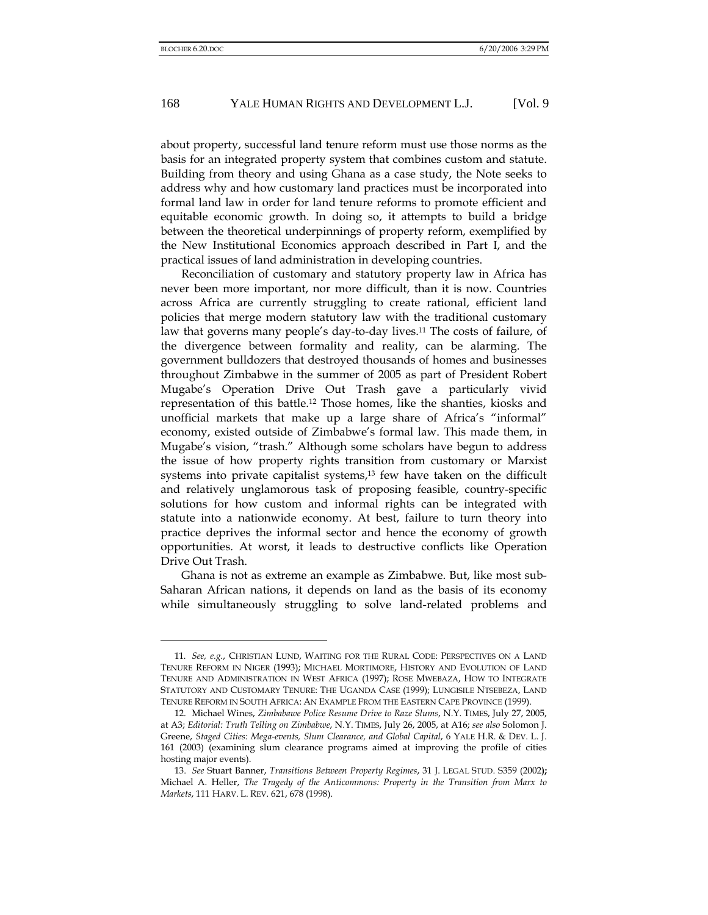about property, successful land tenure reform must use those norms as the basis for an integrated property system that combines custom and statute. Building from theory and using Ghana as a case study, the Note seeks to address why and how customary land practices must be incorporated into formal land law in order for land tenure reforms to promote efficient and equitable economic growth. In doing so, it attempts to build a bridge between the theoretical underpinnings of property reform, exemplified by the New Institutional Economics approach described in Part I, and the practical issues of land administration in developing countries.

Reconciliation of customary and statutory property law in Africa has never been more important, nor more difficult, than it is now. Countries across Africa are currently struggling to create rational, efficient land policies that merge modern statutory law with the traditional customary law that governs many people's day-to-day lives.11 The costs of failure, of the divergence between formality and reality, can be alarming. The government bulldozers that destroyed thousands of homes and businesses throughout Zimbabwe in the summer of 2005 as part of President Robert Mugabe's Operation Drive Out Trash gave a particularly vivid representation of this battle.12 Those homes, like the shanties, kiosks and unofficial markets that make up a large share of Africa's "informal" economy, existed outside of Zimbabwe's formal law. This made them, in Mugabe's vision, "trash." Although some scholars have begun to address the issue of how property rights transition from customary or Marxist systems into private capitalist systems,<sup>13</sup> few have taken on the difficult and relatively unglamorous task of proposing feasible, country-specific solutions for how custom and informal rights can be integrated with statute into a nationwide economy. At best, failure to turn theory into practice deprives the informal sector and hence the economy of growth opportunities. At worst, it leads to destructive conflicts like Operation Drive Out Trash.

Ghana is not as extreme an example as Zimbabwe. But, like most sub-Saharan African nations, it depends on land as the basis of its economy while simultaneously struggling to solve land-related problems and

<sup>11</sup>*. See, e.g.*, CHRISTIAN LUND, WAITING FOR THE RURAL CODE: PERSPECTIVES ON A LAND TENURE REFORM IN NIGER (1993); MICHAEL MORTIMORE, HISTORY AND EVOLUTION OF LAND TENURE AND ADMINISTRATION IN WEST AFRICA (1997); ROSE MWEBAZA, HOW TO INTEGRATE STATUTORY AND CUSTOMARY TENURE: THE UGANDA CASE (1999); LUNGISILE NTSEBEZA, LAND TENURE REFORM IN SOUTH AFRICA: AN EXAMPLE FROM THE EASTERN CAPE PROVINCE (1999).

<sup>12.</sup> Michael Wines, *Zimbabawe Police Resume Drive to Raze Slums*, N.Y. TIMES, July 27, 2005, at A3; *Editorial: Truth Telling on Zimbabwe*, N.Y. TIMES, July 26, 2005, at A16; *see also* Solomon J. Greene, *Staged Cities: Mega-events, Slum Clearance, and Global Capital*, 6 YALE H.R. & DEV. L. J. 161 (2003) (examining slum clearance programs aimed at improving the profile of cities hosting major events).

<sup>13.</sup> *See* Stuart Banner, *Transitions Between Property Regimes*, 31 J. LEGAL STUD. S359 (2002**);**  Michael A. Heller, *The Tragedy of the Anticommons: Property in the Transition from Marx to Markets*, 111 HARV. L. REV. 621, 678 (1998).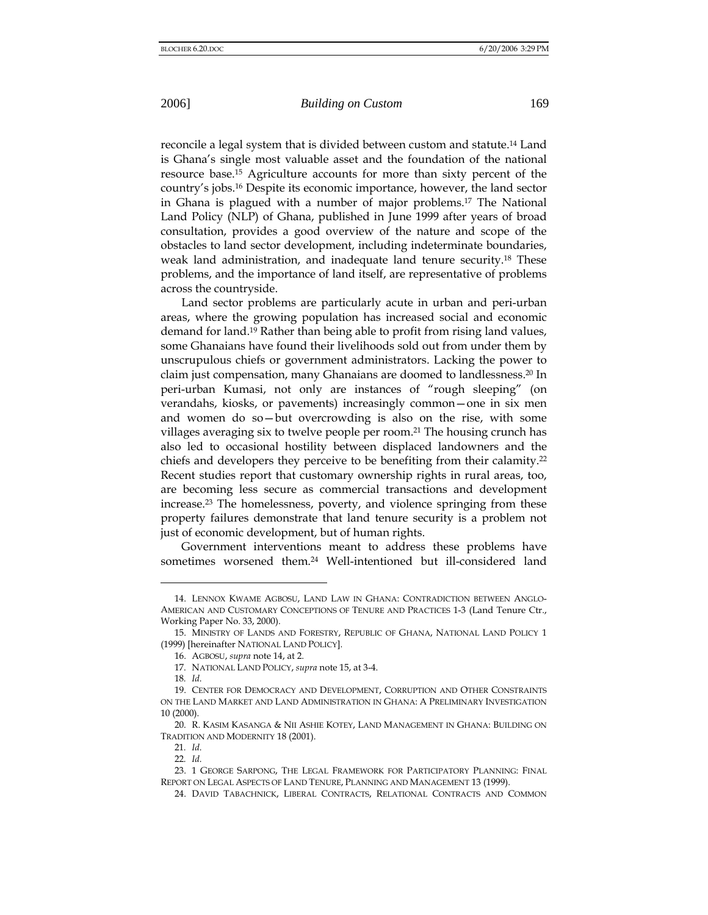reconcile a legal system that is divided between custom and statute.14 Land is Ghana's single most valuable asset and the foundation of the national resource base.15 Agriculture accounts for more than sixty percent of the country's jobs.16 Despite its economic importance, however, the land sector in Ghana is plagued with a number of major problems.17 The National Land Policy (NLP) of Ghana, published in June 1999 after years of broad consultation, provides a good overview of the nature and scope of the obstacles to land sector development, including indeterminate boundaries, weak land administration, and inadequate land tenure security.18 These problems, and the importance of land itself, are representative of problems across the countryside.

Land sector problems are particularly acute in urban and peri-urban areas, where the growing population has increased social and economic demand for land.19 Rather than being able to profit from rising land values, some Ghanaians have found their livelihoods sold out from under them by unscrupulous chiefs or government administrators. Lacking the power to claim just compensation, many Ghanaians are doomed to landlessness.20 In peri-urban Kumasi, not only are instances of "rough sleeping" (on verandahs, kiosks, or pavements) increasingly common—one in six men and women do so—but overcrowding is also on the rise, with some villages averaging six to twelve people per room.21 The housing crunch has also led to occasional hostility between displaced landowners and the chiefs and developers they perceive to be benefiting from their calamity.22 Recent studies report that customary ownership rights in rural areas, too, are becoming less secure as commercial transactions and development increase.23 The homelessness, poverty, and violence springing from these property failures demonstrate that land tenure security is a problem not just of economic development, but of human rights.

Government interventions meant to address these problems have sometimes worsened them.24 Well-intentioned but ill-considered land

18*. Id.*

<sup>14.</sup> LENNOX KWAME AGBOSU, LAND LAW IN GHANA: CONTRADICTION BETWEEN ANGLO-AMERICAN AND CUSTOMARY CONCEPTIONS OF TENURE AND PRACTICES 1-3 (Land Tenure Ctr., Working Paper No. 33, 2000).

<sup>15.</sup> MINISTRY OF LANDS AND FORESTRY, REPUBLIC OF GHANA, NATIONAL LAND POLICY 1 (1999) [hereinafter NATIONAL LAND POLICY].

<sup>16.</sup> AGBOSU, *supra* note 14, at 2.

<sup>17.</sup> NATIONAL LAND POLICY, *supra* note 15, at 3-4.

<sup>19.</sup> CENTER FOR DEMOCRACY AND DEVELOPMENT, CORRUPTION AND OTHER CONSTRAINTS ON THE LAND MARKET AND LAND ADMINISTRATION IN GHANA: A PRELIMINARY INVESTIGATION 10 (2000).

<sup>20.</sup> R. KASIM KASANGA & NII ASHIE KOTEY, LAND MANAGEMENT IN GHANA: BUILDING ON TRADITION AND MODERNITY 18 (2001).

<sup>21</sup>*. Id.*

<sup>22</sup>*. Id.*

<sup>23. 1</sup> GEORGE SARPONG, THE LEGAL FRAMEWORK FOR PARTICIPATORY PLANNING: FINAL REPORT ON LEGAL ASPECTS OF LAND TENURE, PLANNING AND MANAGEMENT 13 (1999).

<sup>24.</sup> DAVID TABACHNICK, LIBERAL CONTRACTS, RELATIONAL CONTRACTS AND COMMON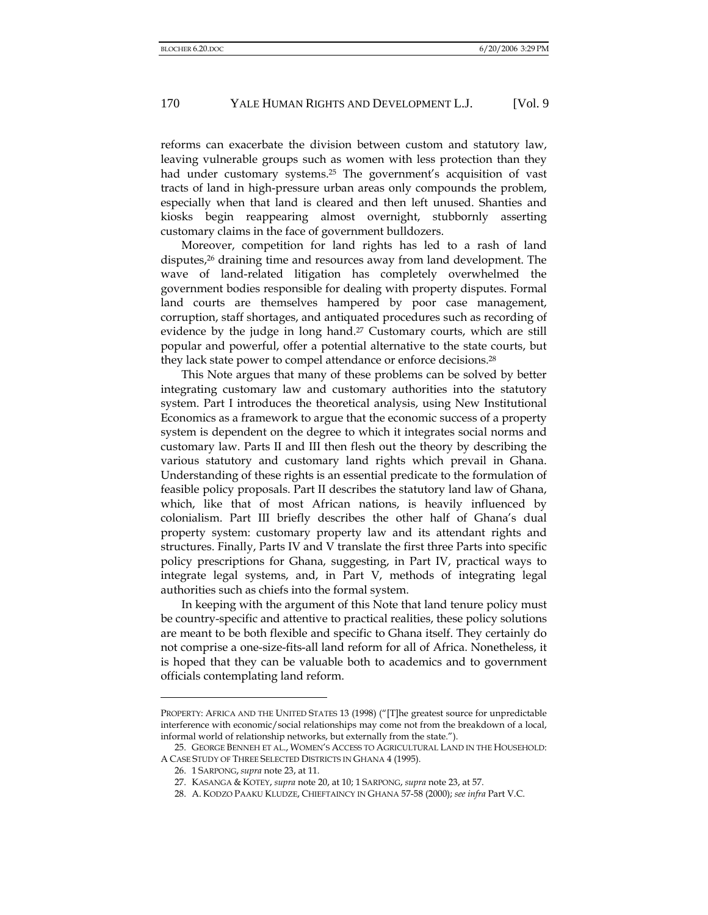reforms can exacerbate the division between custom and statutory law, leaving vulnerable groups such as women with less protection than they had under customary systems.<sup>25</sup> The government's acquisition of vast tracts of land in high-pressure urban areas only compounds the problem, especially when that land is cleared and then left unused. Shanties and kiosks begin reappearing almost overnight, stubbornly asserting customary claims in the face of government bulldozers.

Moreover, competition for land rights has led to a rash of land disputes,<sup>26</sup> draining time and resources away from land development. The wave of land-related litigation has completely overwhelmed the government bodies responsible for dealing with property disputes. Formal land courts are themselves hampered by poor case management, corruption, staff shortages, and antiquated procedures such as recording of evidence by the judge in long hand.<sup>27</sup> Customary courts, which are still popular and powerful, offer a potential alternative to the state courts, but they lack state power to compel attendance or enforce decisions.28

This Note argues that many of these problems can be solved by better integrating customary law and customary authorities into the statutory system. Part I introduces the theoretical analysis, using New Institutional Economics as a framework to argue that the economic success of a property system is dependent on the degree to which it integrates social norms and customary law. Parts II and III then flesh out the theory by describing the various statutory and customary land rights which prevail in Ghana. Understanding of these rights is an essential predicate to the formulation of feasible policy proposals. Part II describes the statutory land law of Ghana, which, like that of most African nations, is heavily influenced by colonialism. Part III briefly describes the other half of Ghana's dual property system: customary property law and its attendant rights and structures. Finally, Parts IV and V translate the first three Parts into specific policy prescriptions for Ghana, suggesting, in Part IV, practical ways to integrate legal systems, and, in Part V, methods of integrating legal authorities such as chiefs into the formal system.

In keeping with the argument of this Note that land tenure policy must be country-specific and attentive to practical realities, these policy solutions are meant to be both flexible and specific to Ghana itself. They certainly do not comprise a one-size-fits-all land reform for all of Africa. Nonetheless, it is hoped that they can be valuable both to academics and to government officials contemplating land reform.

PROPERTY: AFRICA AND THE UNITED STATES 13 (1998) ("[T]he greatest source for unpredictable interference with economic/social relationships may come not from the breakdown of a local, informal world of relationship networks, but externally from the state.").

<sup>25.</sup> GEORGE BENNEH ET AL., WOMEN'S ACCESS TO AGRICULTURAL LAND IN THE HOUSEHOLD: A CASE STUDY OF THREE SELECTED DISTRICTS IN GHANA 4 (1995).

<sup>26. 1</sup> SARPONG, *supra* note 23, at 11.

<sup>27.</sup> KASANGA & KOTEY, *supra* note 20, at 10; 1 SARPONG, *supra* note 23, at 57.

<sup>28.</sup> A. KODZO PAAKU KLUDZE, CHIEFTAINCY IN GHANA 57-58 (2000); *see infra* Part V.C.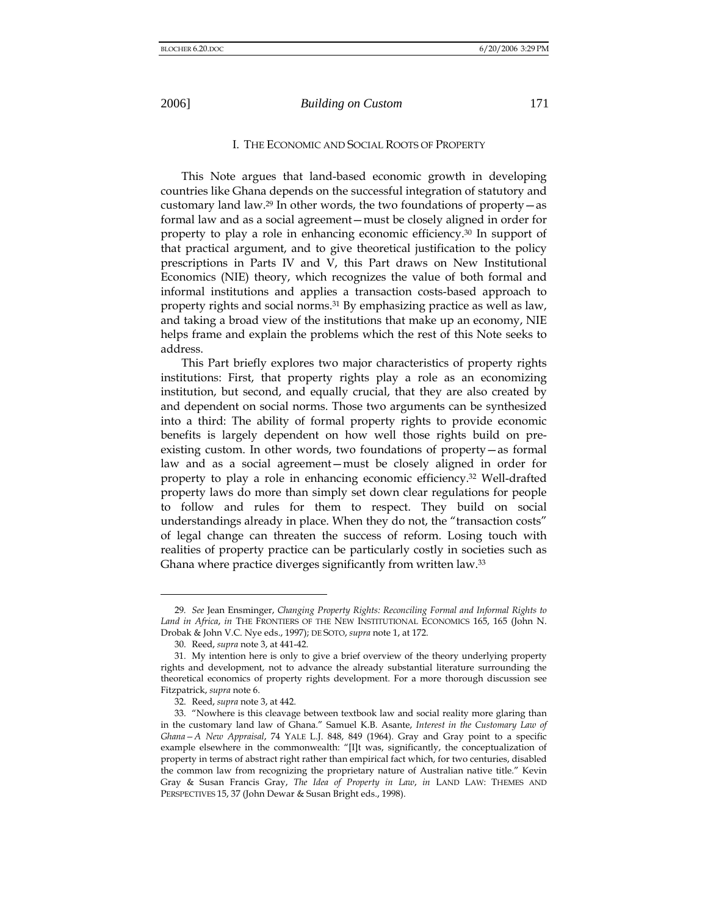#### I. THE ECONOMIC AND SOCIAL ROOTS OF PROPERTY

This Note argues that land-based economic growth in developing countries like Ghana depends on the successful integration of statutory and customary land law.29 In other words, the two foundations of property—as formal law and as a social agreement—must be closely aligned in order for property to play a role in enhancing economic efficiency.30 In support of that practical argument, and to give theoretical justification to the policy prescriptions in Parts IV and V, this Part draws on New Institutional Economics (NIE) theory, which recognizes the value of both formal and informal institutions and applies a transaction costs-based approach to property rights and social norms.<sup>31</sup> By emphasizing practice as well as law, and taking a broad view of the institutions that make up an economy, NIE helps frame and explain the problems which the rest of this Note seeks to address.

This Part briefly explores two major characteristics of property rights institutions: First, that property rights play a role as an economizing institution, but second, and equally crucial, that they are also created by and dependent on social norms. Those two arguments can be synthesized into a third: The ability of formal property rights to provide economic benefits is largely dependent on how well those rights build on preexisting custom. In other words, two foundations of property—as formal law and as a social agreement—must be closely aligned in order for property to play a role in enhancing economic efficiency.32 Well-drafted property laws do more than simply set down clear regulations for people to follow and rules for them to respect. They build on social understandings already in place. When they do not, the "transaction costs" of legal change can threaten the success of reform. Losing touch with realities of property practice can be particularly costly in societies such as Ghana where practice diverges significantly from written law.33

<sup>29</sup>*. See* Jean Ensminger, *Changing Property Rights: Reconciling Formal and Informal Rights to Land in Africa*, *in* THE FRONTIERS OF THE NEW INSTITUTIONAL ECONOMICS 165, 165 (John N. Drobak & John V.C. Nye eds., 1997); DE SOTO, *supra* note 1, at 172.

<sup>30.</sup> Reed, *supra* note 3, at 441-42.

<sup>31.</sup> My intention here is only to give a brief overview of the theory underlying property rights and development, not to advance the already substantial literature surrounding the theoretical economics of property rights development. For a more thorough discussion see Fitzpatrick, *supra* note 6.

<sup>32.</sup> Reed, *supra* note 3, at 442.

<sup>33. &</sup>quot;Nowhere is this cleavage between textbook law and social reality more glaring than in the customary land law of Ghana." Samuel K.B. Asante, *Interest in the Customary Law of Ghana—A New Appraisal*, 74 YALE L.J. 848, 849 (1964). Gray and Gray point to a specific example elsewhere in the commonwealth: "[I]t was, significantly, the conceptualization of property in terms of abstract right rather than empirical fact which, for two centuries, disabled the common law from recognizing the proprietary nature of Australian native title." Kevin Gray & Susan Francis Gray, *The Idea of Property in Law*, *in* LAND LAW: THEMES AND PERSPECTIVES 15, 37 (John Dewar & Susan Bright eds., 1998).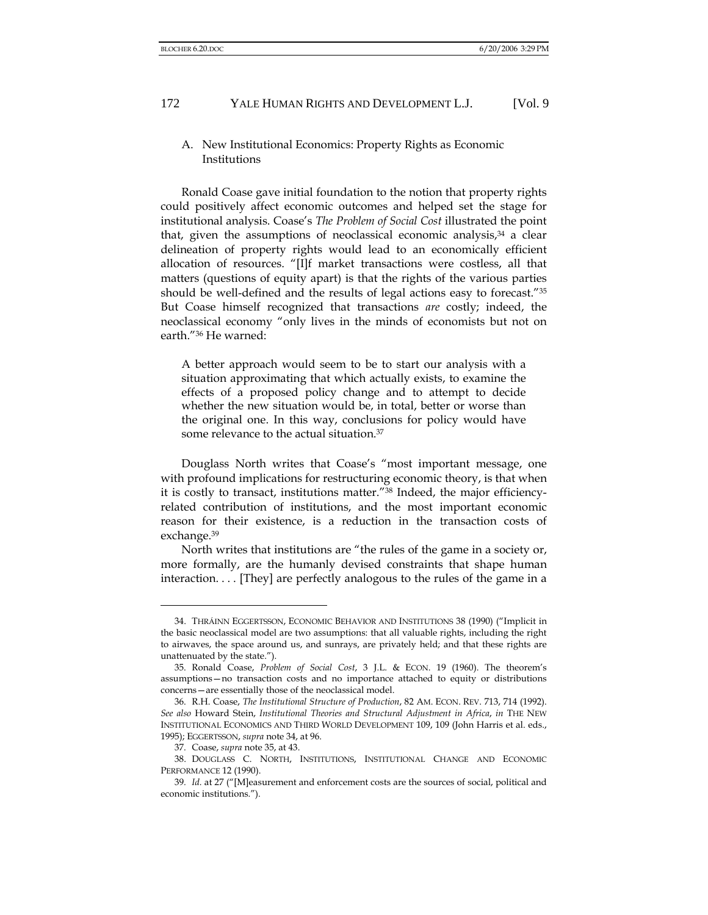## A. New Institutional Economics: Property Rights as Economic Institutions

Ronald Coase gave initial foundation to the notion that property rights could positively affect economic outcomes and helped set the stage for institutional analysis. Coase's *The Problem of Social Cost* illustrated the point that, given the assumptions of neoclassical economic analysis, $34$  a clear delineation of property rights would lead to an economically efficient allocation of resources. "[I]f market transactions were costless, all that matters (questions of equity apart) is that the rights of the various parties should be well-defined and the results of legal actions easy to forecast."35 But Coase himself recognized that transactions *are* costly; indeed, the neoclassical economy "only lives in the minds of economists but not on earth."36 He warned:

A better approach would seem to be to start our analysis with a situation approximating that which actually exists, to examine the effects of a proposed policy change and to attempt to decide whether the new situation would be, in total, better or worse than the original one. In this way, conclusions for policy would have some relevance to the actual situation.<sup>37</sup>

Douglass North writes that Coase's "most important message, one with profound implications for restructuring economic theory, is that when it is costly to transact, institutions matter."38 Indeed, the major efficiencyrelated contribution of institutions, and the most important economic reason for their existence, is a reduction in the transaction costs of exchange.39

North writes that institutions are "the rules of the game in a society or, more formally, are the humanly devised constraints that shape human interaction. . . . [They] are perfectly analogous to the rules of the game in a

<sup>34.</sup> THRÁINN EGGERTSSON, ECONOMIC BEHAVIOR AND INSTITUTIONS 38 (1990) ("Implicit in the basic neoclassical model are two assumptions: that all valuable rights, including the right to airwaves, the space around us, and sunrays, are privately held; and that these rights are unattenuated by the state.").

<sup>35.</sup> Ronald Coase, *Problem of Social Cost*, 3 J.L. & ECON. 19 (1960). The theorem's assumptions—no transaction costs and no importance attached to equity or distributions concerns—are essentially those of the neoclassical model.

<sup>36.</sup> R.H. Coase, *The Institutional Structure of Production*, 82 AM. ECON. REV. 713, 714 (1992). *See also* Howard Stein, *Institutional Theories and Structural Adjustment in Africa*, *in* THE NEW INSTITUTIONAL ECONOMICS AND THIRD WORLD DEVELOPMENT 109, 109 (John Harris et al. eds., 1995); EGGERTSSON, *supra* note 34, at 96.

<sup>37.</sup> Coase, *supra* note 35, at 43.

<sup>38.</sup> DOUGLASS C. NORTH, INSTITUTIONS, INSTITUTIONAL CHANGE AND ECONOMIC PERFORMANCE 12 (1990).

<sup>39</sup>*. Id.* at 27 ("[M]easurement and enforcement costs are the sources of social, political and economic institutions.").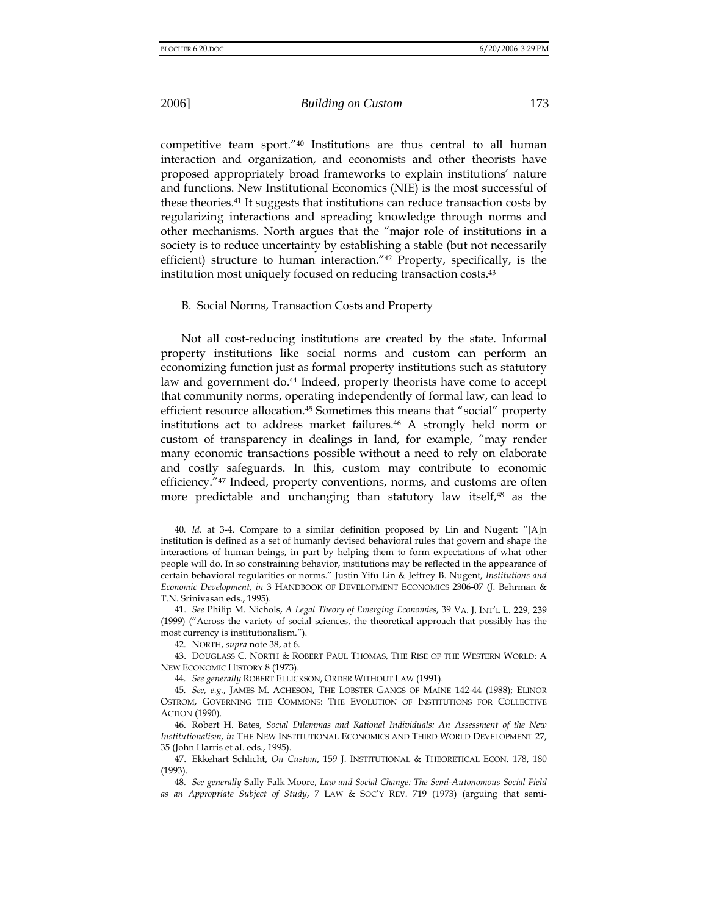l

competitive team sport."40 Institutions are thus central to all human interaction and organization, and economists and other theorists have proposed appropriately broad frameworks to explain institutions' nature and functions. New Institutional Economics (NIE) is the most successful of these theories.41 It suggests that institutions can reduce transaction costs by regularizing interactions and spreading knowledge through norms and other mechanisms. North argues that the "major role of institutions in a society is to reduce uncertainty by establishing a stable (but not necessarily efficient) structure to human interaction."42 Property, specifically, is the institution most uniquely focused on reducing transaction costs.<sup>43</sup>

#### B. Social Norms, Transaction Costs and Property

Not all cost-reducing institutions are created by the state. Informal property institutions like social norms and custom can perform an economizing function just as formal property institutions such as statutory law and government do.<sup>44</sup> Indeed, property theorists have come to accept that community norms, operating independently of formal law, can lead to efficient resource allocation.45 Sometimes this means that "social" property institutions act to address market failures.46 A strongly held norm or custom of transparency in dealings in land, for example, "may render many economic transactions possible without a need to rely on elaborate and costly safeguards. In this, custom may contribute to economic efficiency."47 Indeed, property conventions, norms, and customs are often more predictable and unchanging than statutory law itself,<sup>48</sup> as the

<sup>40</sup>*. Id*. at 3-4. Compare to a similar definition proposed by Lin and Nugent: "[A]n institution is defined as a set of humanly devised behavioral rules that govern and shape the interactions of human beings, in part by helping them to form expectations of what other people will do. In so constraining behavior, institutions may be reflected in the appearance of certain behavioral regularities or norms." Justin Yifu Lin & Jeffrey B. Nugent, *Institutions and Economic Development*, *in* 3 HANDBOOK OF DEVELOPMENT ECONOMICS 2306-07 (J. Behrman & T.N. Srinivasan eds., 1995).

<sup>41.</sup> *See* Philip M. Nichols, *A Legal Theory of Emerging Economies*, 39 VA. J. INT'L L. 229, 239 (1999) ("Across the variety of social sciences, the theoretical approach that possibly has the most currency is institutionalism.").

<sup>42.</sup> NORTH, *supra* note 38, at 6.

<sup>43.</sup> DOUGLASS C. NORTH & ROBERT PAUL THOMAS, THE RISE OF THE WESTERN WORLD: A NEW ECONOMIC HISTORY 8 (1973).

<sup>44</sup>*. See generally* ROBERT ELLICKSON, ORDER WITHOUT LAW (1991).

<sup>45</sup>*. See, e.g.*, JAMES M. ACHESON, THE LOBSTER GANGS OF MAINE 142-44 (1988); ELINOR OSTROM, GOVERNING THE COMMONS: THE EVOLUTION OF INSTITUTIONS FOR COLLECTIVE ACTION (1990).

<sup>46.</sup> Robert H. Bates, *Social Dilemmas and Rational Individuals: An Assessment of the New Institutionalism*, *in* THE NEW INSTITUTIONAL ECONOMICS AND THIRD WORLD DEVELOPMENT 27, 35 (John Harris et al. eds., 1995).

<sup>47.</sup> Ekkehart Schlicht, *On Custom*, 159 J. INSTITUTIONAL & THEORETICAL ECON. 178, 180 (1993).

<sup>48</sup>*. See generally* Sally Falk Moore, *Law and Social Change: The Semi-Autonomous Social Field as an Appropriate Subject of Study*, 7 LAW & SOC'Y REV. 719 (1973) (arguing that semi-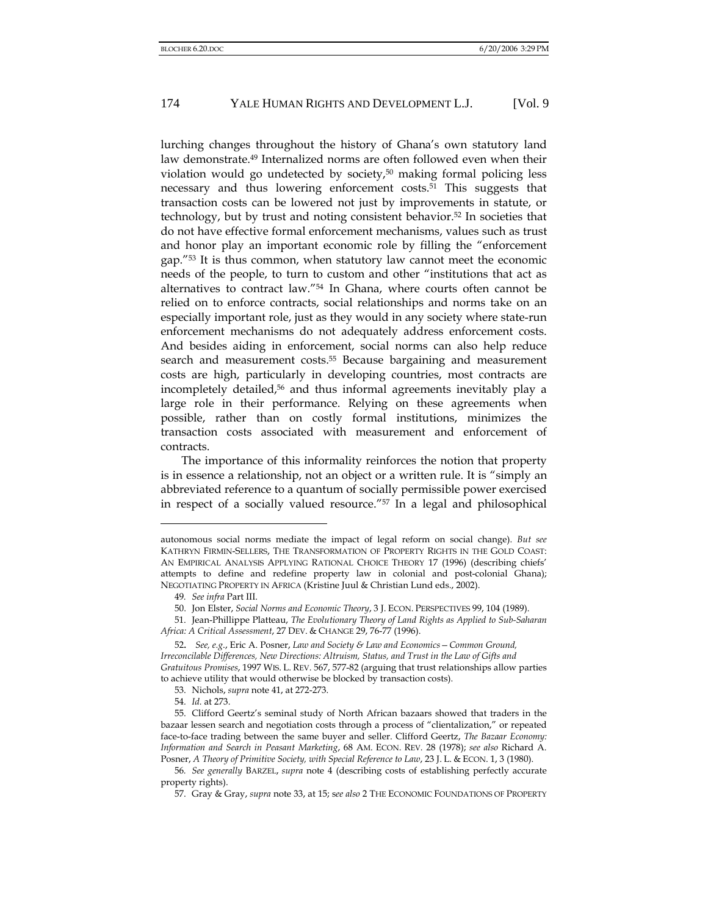lurching changes throughout the history of Ghana's own statutory land law demonstrate.49 Internalized norms are often followed even when their violation would go undetected by society,50 making formal policing less necessary and thus lowering enforcement costs.<sup>51</sup> This suggests that transaction costs can be lowered not just by improvements in statute, or technology, but by trust and noting consistent behavior.52 In societies that do not have effective formal enforcement mechanisms, values such as trust and honor play an important economic role by filling the "enforcement gap."53 It is thus common, when statutory law cannot meet the economic needs of the people, to turn to custom and other "institutions that act as alternatives to contract law."54 In Ghana, where courts often cannot be relied on to enforce contracts, social relationships and norms take on an especially important role, just as they would in any society where state-run enforcement mechanisms do not adequately address enforcement costs. And besides aiding in enforcement, social norms can also help reduce search and measurement costs.<sup>55</sup> Because bargaining and measurement costs are high, particularly in developing countries, most contracts are incompletely detailed,56 and thus informal agreements inevitably play a large role in their performance. Relying on these agreements when possible, rather than on costly formal institutions, minimizes the transaction costs associated with measurement and enforcement of contracts.

The importance of this informality reinforces the notion that property is in essence a relationship, not an object or a written rule. It is "simply an abbreviated reference to a quantum of socially permissible power exercised in respect of a socially valued resource."57 In a legal and philosophical

autonomous social norms mediate the impact of legal reform on social change). *But see* KATHRYN FIRMIN-SELLERS, THE TRANSFORMATION OF PROPERTY RIGHTS IN THE GOLD COAST: AN EMPIRICAL ANALYSIS APPLYING RATIONAL CHOICE THEORY 17 (1996) (describing chiefs' attempts to define and redefine property law in colonial and post-colonial Ghana); NEGOTIATING PROPERTY IN AFRICA (Kristine Juul & Christian Lund eds., 2002).

<sup>49</sup>*. See infra* Part III.

<sup>50.</sup> Jon Elster, *Social Norms and Economic Theory*, 3 J. ECON. PERSPECTIVES 99, 104 (1989).

<sup>51.</sup> Jean-Phillippe Platteau, *The Evolutionary Theory of Land Rights as Applied to Sub-Saharan Africa: A Critical Assessment*, 27 DEV. & CHANGE 29, 76-77 (1996).

<sup>52</sup>*. See, e.g*., Eric A. Posner, *Law and Society & Law and Economics—Common Ground, Irreconcilable Differences, New Directions: Altruism, Status, and Trust in the Law of Gifts and Gratuitous Promises*, 1997 WIS. L. REV. 567, 577-82 (arguing that trust relationships allow parties to achieve utility that would otherwise be blocked by transaction costs).

<sup>53.</sup> Nichols, *supra* note 41, at 272-273.

<sup>54</sup>*. Id.* at 273.

<sup>55.</sup> Clifford Geertz's seminal study of North African bazaars showed that traders in the bazaar lessen search and negotiation costs through a process of "clientalization," or repeated face-to-face trading between the same buyer and seller. Clifford Geertz, *The Bazaar Economy: Information and Search in Peasant Marketing*, 68 AM. ECON. REV. 28 (1978); *see also* Richard A. Posner, *A Theory of Primitive Society, with Special Reference to Law*, 23 J. L. & ECON. 1, 3 (1980).

<sup>56</sup>*. See generally* BARZEL, *supra* note 4 (describing costs of establishing perfectly accurate property rights).

<sup>57.</sup> Gray & Gray, *supra* note 33, at 15; s*ee also* 2 THE ECONOMIC FOUNDATIONS OF PROPERTY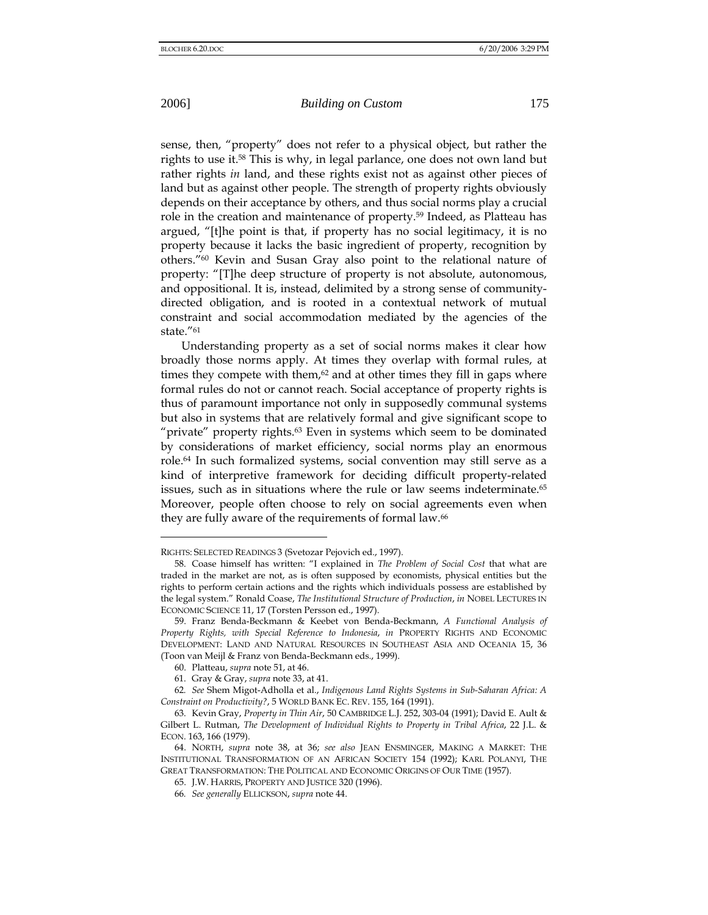l

sense, then, "property" does not refer to a physical object, but rather the rights to use it.58 This is why, in legal parlance, one does not own land but rather rights *in* land, and these rights exist not as against other pieces of land but as against other people. The strength of property rights obviously depends on their acceptance by others, and thus social norms play a crucial role in the creation and maintenance of property.59 Indeed, as Platteau has argued, "[t]he point is that, if property has no social legitimacy, it is no property because it lacks the basic ingredient of property, recognition by others."60 Kevin and Susan Gray also point to the relational nature of property: "[T]he deep structure of property is not absolute, autonomous, and oppositional. It is, instead, delimited by a strong sense of communitydirected obligation, and is rooted in a contextual network of mutual constraint and social accommodation mediated by the agencies of the state."61

Understanding property as a set of social norms makes it clear how broadly those norms apply. At times they overlap with formal rules, at times they compete with them, $62$  and at other times they fill in gaps where formal rules do not or cannot reach. Social acceptance of property rights is thus of paramount importance not only in supposedly communal systems but also in systems that are relatively formal and give significant scope to "private" property rights.<sup>63</sup> Even in systems which seem to be dominated by considerations of market efficiency, social norms play an enormous role.64 In such formalized systems, social convention may still serve as a kind of interpretive framework for deciding difficult property-related issues, such as in situations where the rule or law seems indeterminate.<sup>65</sup> Moreover, people often choose to rely on social agreements even when they are fully aware of the requirements of formal law.<sup>66</sup>

RIGHTS: SELECTED READINGS 3 (Svetozar Pejovich ed., 1997).

<sup>58.</sup> Coase himself has written: "I explained in *The Problem of Social Cost* that what are traded in the market are not, as is often supposed by economists, physical entities but the rights to perform certain actions and the rights which individuals possess are established by the legal system." Ronald Coase, *The Institutional Structure of Production*, *in* NOBEL LECTURES IN ECONOMIC SCIENCE 11, 17 (Torsten Persson ed., 1997).

<sup>59.</sup> Franz Benda-Beckmann & Keebet von Benda-Beckmann, *A Functional Analysis of Property Rights, with Special Reference to Indonesia*, *in* PROPERTY RIGHTS AND ECONOMIC DEVELOPMENT: LAND AND NATURAL RESOURCES IN SOUTHEAST ASIA AND OCEANIA 15, 36 (Toon van Meijl & Franz von Benda-Beckmann eds., 1999).

<sup>60.</sup> Platteau, *supra* note 51, at 46.

<sup>61.</sup> Gray & Gray, *supra* note 33, at 41.

<sup>62</sup>*. See* Shem Migot-Adholla et al., *Indigenous Land Rights Systems in Sub-Saharan Africa: A Constraint on Productivity?*, 5 WORLD BANK EC. REV. 155, 164 (1991).

<sup>63.</sup> Kevin Gray, *Property in Thin Air*, 50 CAMBRIDGE L.J. 252, 303-04 (1991); David E. Ault & Gilbert L. Rutman, *The Development of Individual Rights to Property in Tribal Africa*, 22 J.L. & ECON. 163, 166 (1979).

<sup>64.</sup> NORTH, *supra* note 38, at 36; *see also* JEAN ENSMINGER, MAKING A MARKET: THE INSTITUTIONAL TRANSFORMATION OF AN AFRICAN SOCIETY 154 (1992); KARL POLANYI, THE GREAT TRANSFORMATION: THE POLITICAL AND ECONOMIC ORIGINS OF OUR TIME (1957).

<sup>65.</sup> J.W. HARRIS, PROPERTY AND JUSTICE 320 (1996).

<sup>66</sup>*. See generally* ELLICKSON, *supra* note 44.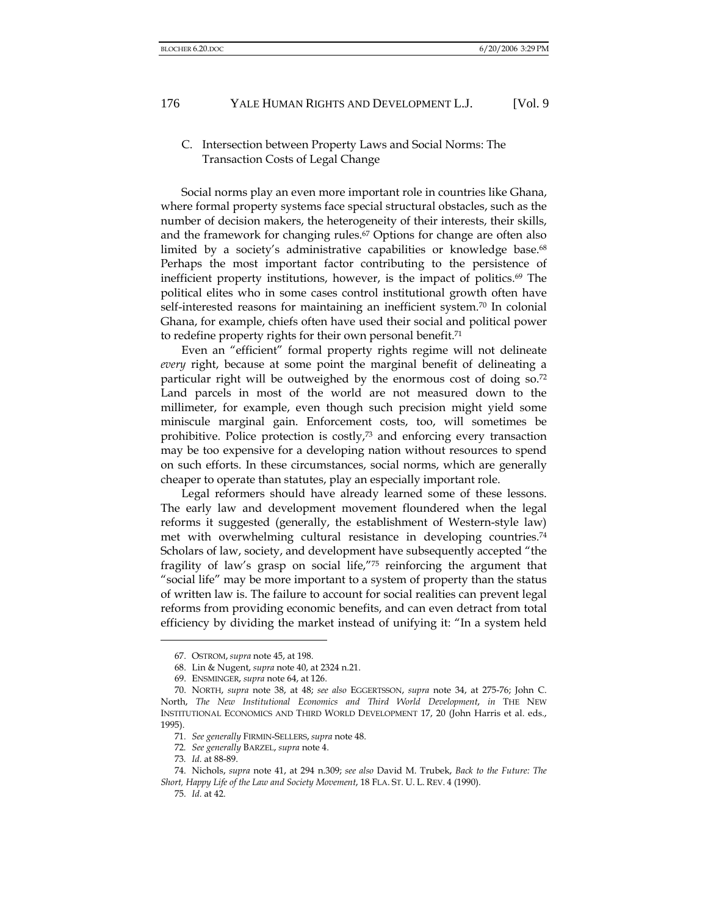C. Intersection between Property Laws and Social Norms: The Transaction Costs of Legal Change

Social norms play an even more important role in countries like Ghana, where formal property systems face special structural obstacles, such as the number of decision makers, the heterogeneity of their interests, their skills, and the framework for changing rules.<sup>67</sup> Options for change are often also limited by a society's administrative capabilities or knowledge base.<sup>68</sup> Perhaps the most important factor contributing to the persistence of inefficient property institutions, however, is the impact of politics.<sup>69</sup> The political elites who in some cases control institutional growth often have self-interested reasons for maintaining an inefficient system.70 In colonial Ghana, for example, chiefs often have used their social and political power to redefine property rights for their own personal benefit.<sup>71</sup>

Even an "efficient" formal property rights regime will not delineate *every* right, because at some point the marginal benefit of delineating a particular right will be outweighed by the enormous cost of doing so.<sup>72</sup> Land parcels in most of the world are not measured down to the millimeter, for example, even though such precision might yield some miniscule marginal gain. Enforcement costs, too, will sometimes be prohibitive. Police protection is costly,73 and enforcing every transaction may be too expensive for a developing nation without resources to spend on such efforts. In these circumstances, social norms, which are generally cheaper to operate than statutes, play an especially important role.

Legal reformers should have already learned some of these lessons. The early law and development movement floundered when the legal reforms it suggested (generally, the establishment of Western-style law) met with overwhelming cultural resistance in developing countries.74 Scholars of law, society, and development have subsequently accepted "the fragility of law's grasp on social life,"75 reinforcing the argument that "social life" may be more important to a system of property than the status of written law is. The failure to account for social realities can prevent legal reforms from providing economic benefits, and can even detract from total efficiency by dividing the market instead of unifying it: "In a system held

<sup>67.</sup> OSTROM, *supra* note 45, at 198.

<sup>68.</sup> Lin & Nugent, *supra* note 40, at 2324 n.21.

<sup>69.</sup> ENSMINGER, *supra* note 64, at 126.

<sup>70.</sup> NORTH, *supra* note 38, at 48; *see also* EGGERTSSON, *supra* note 34, at 275-76; John C. North, *The New Institutional Economics and Third World Development*, *in* THE NEW INSTITUTIONAL ECONOMICS AND THIRD WORLD DEVELOPMENT 17, 20 (John Harris et al. eds., 1995).

<sup>71</sup>*. See generally* FIRMIN-SELLERS, *supra* note 48.

<sup>72</sup>*. See generally* BARZEL, *supra* note 4.

<sup>73</sup>*. Id.* at 88-89.

<sup>74.</sup> Nichols, *supra* note 41, at 294 n.309; *see also* David M. Trubek, *Back to the Future: The Short, Happy Life of the Law and Society Movement*, 18 FLA. ST. U. L. REV. 4 (1990).

<sup>75</sup>*. Id.* at 42.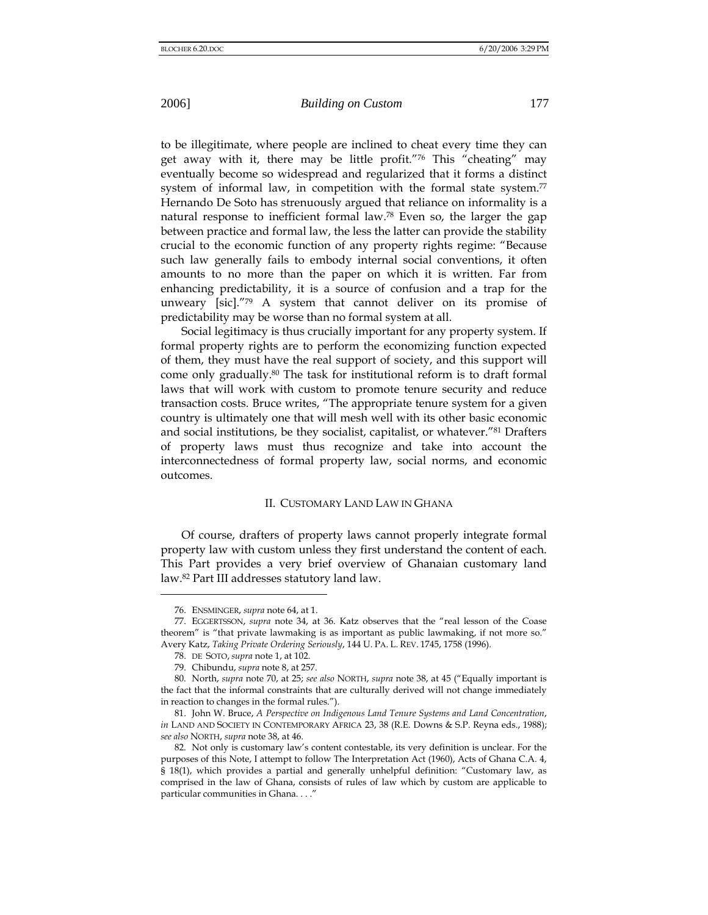to be illegitimate, where people are inclined to cheat every time they can get away with it, there may be little profit."76 This "cheating" may eventually become so widespread and regularized that it forms a distinct system of informal law, in competition with the formal state system. $77$ Hernando De Soto has strenuously argued that reliance on informality is a natural response to inefficient formal law.78 Even so, the larger the gap between practice and formal law, the less the latter can provide the stability crucial to the economic function of any property rights regime: "Because such law generally fails to embody internal social conventions, it often amounts to no more than the paper on which it is written. Far from enhancing predictability, it is a source of confusion and a trap for the unweary [sic]."79 A system that cannot deliver on its promise of predictability may be worse than no formal system at all.

Social legitimacy is thus crucially important for any property system. If formal property rights are to perform the economizing function expected of them, they must have the real support of society, and this support will come only gradually.80 The task for institutional reform is to draft formal laws that will work with custom to promote tenure security and reduce transaction costs. Bruce writes, "The appropriate tenure system for a given country is ultimately one that will mesh well with its other basic economic and social institutions, be they socialist, capitalist, or whatever."81 Drafters of property laws must thus recognize and take into account the interconnectedness of formal property law, social norms, and economic outcomes.

### II. CUSTOMARY LAND LAW IN GHANA

Of course, drafters of property laws cannot properly integrate formal property law with custom unless they first understand the content of each. This Part provides a very brief overview of Ghanaian customary land law.82 Part III addresses statutory land law.

<sup>76.</sup> ENSMINGER, *supra* note 64, at 1.

<sup>77.</sup> EGGERTSSON, *supra* note 34, at 36. Katz observes that the "real lesson of the Coase theorem" is "that private lawmaking is as important as public lawmaking, if not more so." Avery Katz, *Taking Private Ordering Seriously*, 144 U. PA. L. REV. 1745, 1758 (1996).

<sup>78.</sup> DE SOTO, *supra* note 1, at 102.

<sup>79.</sup> Chibundu, *supra* note 8, at 257.

<sup>80.</sup> North, *supra* note 70, at 25; *see also* NORTH, *supra* note 38, at 45 ("Equally important is the fact that the informal constraints that are culturally derived will not change immediately in reaction to changes in the formal rules.").

<sup>81.</sup> John W. Bruce, *A Perspective on Indigenous Land Tenure Systems and Land Concentration*, *in* LAND AND SOCIETY IN CONTEMPORARY AFRICA 23, 38 (R.E. Downs & S.P. Reyna eds., 1988); *see also* NORTH, *supra* note 38, at 46.

<sup>82.</sup> Not only is customary law's content contestable, its very definition is unclear. For the purposes of this Note, I attempt to follow The Interpretation Act (1960), Acts of Ghana C.A. 4, § 18(1), which provides a partial and generally unhelpful definition: "Customary law, as comprised in the law of Ghana, consists of rules of law which by custom are applicable to particular communities in Ghana. . . ."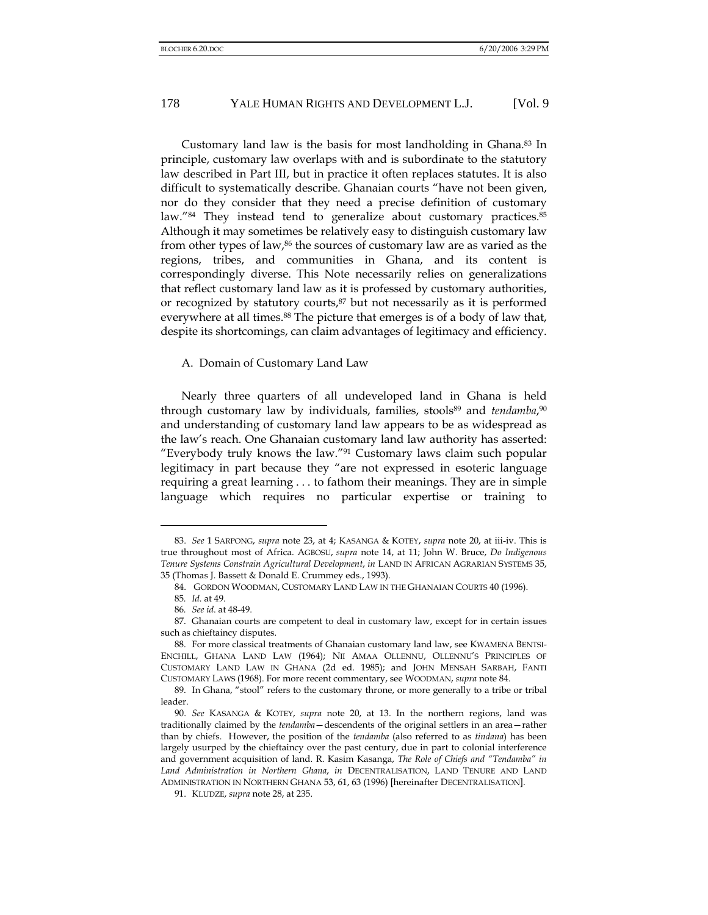Customary land law is the basis for most landholding in Ghana.83 In principle, customary law overlaps with and is subordinate to the statutory law described in Part III, but in practice it often replaces statutes. It is also difficult to systematically describe. Ghanaian courts "have not been given, nor do they consider that they need a precise definition of customary law."<sup>84</sup> They instead tend to generalize about customary practices.<sup>85</sup> Although it may sometimes be relatively easy to distinguish customary law from other types of law,<sup>86</sup> the sources of customary law are as varied as the regions, tribes, and communities in Ghana, and its content is correspondingly diverse. This Note necessarily relies on generalizations that reflect customary land law as it is professed by customary authorities, or recognized by statutory courts,<sup>87</sup> but not necessarily as it is performed everywhere at all times.<sup>88</sup> The picture that emerges is of a body of law that, despite its shortcomings, can claim advantages of legitimacy and efficiency.

## A. Domain of Customary Land Law

Nearly three quarters of all undeveloped land in Ghana is held through customary law by individuals, families, stools<sup>89</sup> and *tendamba*,<sup>90</sup> and understanding of customary land law appears to be as widespread as the law's reach. One Ghanaian customary land law authority has asserted: "Everybody truly knows the law."91 Customary laws claim such popular legitimacy in part because they "are not expressed in esoteric language requiring a great learning . . . to fathom their meanings. They are in simple language which requires no particular expertise or training to

<sup>83.</sup> *See* 1 SARPONG, *supra* note 23, at 4; KASANGA & KOTEY, *supra* note 20, at iii-iv. This is true throughout most of Africa. AGBOSU, *supra* note 14, at 11; John W. Bruce, *Do Indigenous Tenure Systems Constrain Agricultural Development*, *in* LAND IN AFRICAN AGRARIAN SYSTEMS 35, 35 (Thomas J. Bassett & Donald E. Crummey eds., 1993).

<sup>84.</sup> GORDON WOODMAN, CUSTOMARY LAND LAW IN THE GHANAIAN COURTS 40 (1996).

<sup>85</sup>*. Id.* at 49.

<sup>86</sup>*. See id*. at 48-49.

<sup>87.</sup> Ghanaian courts are competent to deal in customary law, except for in certain issues such as chieftaincy disputes.

<sup>88.</sup> For more classical treatments of Ghanaian customary land law, see KWAMENA BENTSI-ENCHILL, GHANA LAND LAW (1964); NII AMAA OLLENNU, OLLENNU'S PRINCIPLES OF CUSTOMARY LAND LAW IN GHANA (2d ed. 1985); and JOHN MENSAH SARBAH, FANTI CUSTOMARY LAWS (1968). For more recent commentary, see WOODMAN, *supra* note 84.

<sup>89.</sup> In Ghana, "stool" refers to the customary throne, or more generally to a tribe or tribal leader.

<sup>90.</sup> *See* KASANGA & KOTEY, *supra* note 20, at 13. In the northern regions, land was traditionally claimed by the *tendamba*—descendents of the original settlers in an area—rather than by chiefs. However, the position of the *tendamba* (also referred to as *tindana*) has been largely usurped by the chieftaincy over the past century, due in part to colonial interference and government acquisition of land. R. Kasim Kasanga, *The Role of Chiefs and "Tendamba" in Land Administration in Northern Ghana*, *in* DECENTRALISATION, LAND TENURE AND LAND ADMINISTRATION IN NORTHERN GHANA 53, 61, 63 (1996) [hereinafter DECENTRALISATION].

<sup>91.</sup> KLUDZE, *supra* note 28, at 235.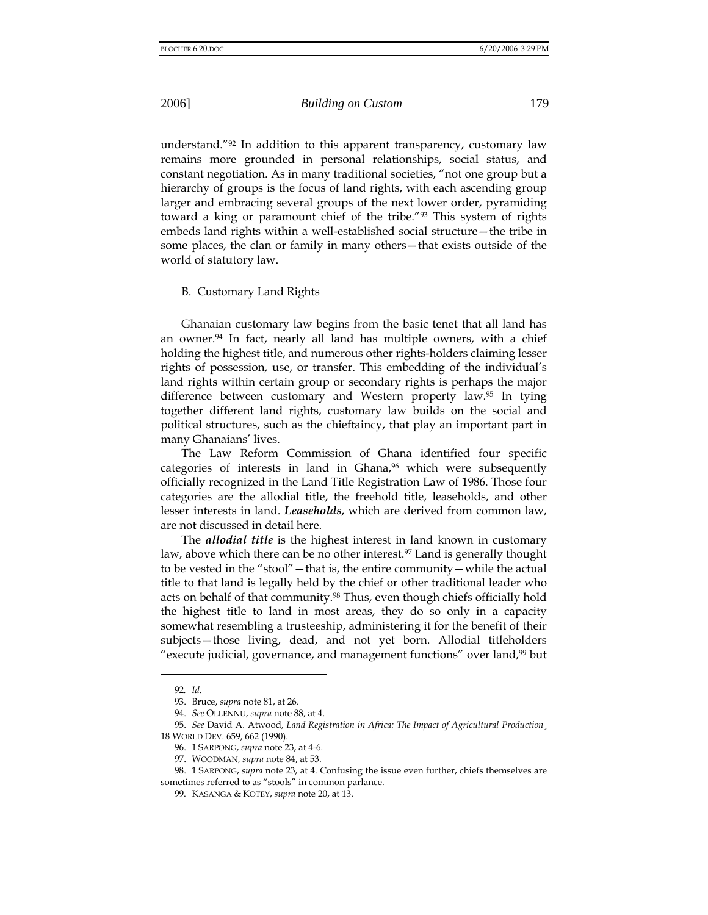understand."92 In addition to this apparent transparency, customary law remains more grounded in personal relationships, social status, and constant negotiation. As in many traditional societies, "not one group but a hierarchy of groups is the focus of land rights, with each ascending group larger and embracing several groups of the next lower order, pyramiding toward a king or paramount chief of the tribe."93 This system of rights embeds land rights within a well-established social structure—the tribe in some places, the clan or family in many others—that exists outside of the world of statutory law.

## B. Customary Land Rights

Ghanaian customary law begins from the basic tenet that all land has an owner.<sup>94</sup> In fact, nearly all land has multiple owners, with a chief holding the highest title, and numerous other rights-holders claiming lesser rights of possession, use, or transfer. This embedding of the individual's land rights within certain group or secondary rights is perhaps the major difference between customary and Western property law.95 In tying together different land rights, customary law builds on the social and political structures, such as the chieftaincy, that play an important part in many Ghanaians' lives.

The Law Reform Commission of Ghana identified four specific categories of interests in land in Ghana,<sup>96</sup> which were subsequently officially recognized in the Land Title Registration Law of 1986. Those four categories are the allodial title, the freehold title, leaseholds, and other lesser interests in land. *Leaseholds*, which are derived from common law, are not discussed in detail here.

The *allodial title* is the highest interest in land known in customary law, above which there can be no other interest.<sup>97</sup> Land is generally thought to be vested in the "stool"—that is, the entire community—while the actual title to that land is legally held by the chief or other traditional leader who acts on behalf of that community.<sup>98</sup> Thus, even though chiefs officially hold the highest title to land in most areas, they do so only in a capacity somewhat resembling a trusteeship, administering it for the benefit of their subjects—those living, dead, and not yet born. Allodial titleholders "execute judicial, governance, and management functions" over land,<sup>99</sup> but

<sup>92</sup>*. Id.*

<sup>93.</sup> Bruce, *supra* note 81, at 26.

<sup>94.</sup> *See* OLLENNU, *supra* note 88, at 4.

<sup>95.</sup> *See* David A. Atwood, *Land Registration in Africa: The Impact of Agricultural Production*¸ 18 WORLD DEV. 659, 662 (1990).

<sup>96. 1</sup> SARPONG, *supra* note 23, at 4-6.

<sup>97.</sup> WOODMAN, *supra* note 84, at 53.

<sup>98. 1</sup> SARPONG, *supra* note 23, at 4. Confusing the issue even further, chiefs themselves are sometimes referred to as "stools" in common parlance.

<sup>99.</sup> KASANGA & KOTEY, *supra* note 20, at 13.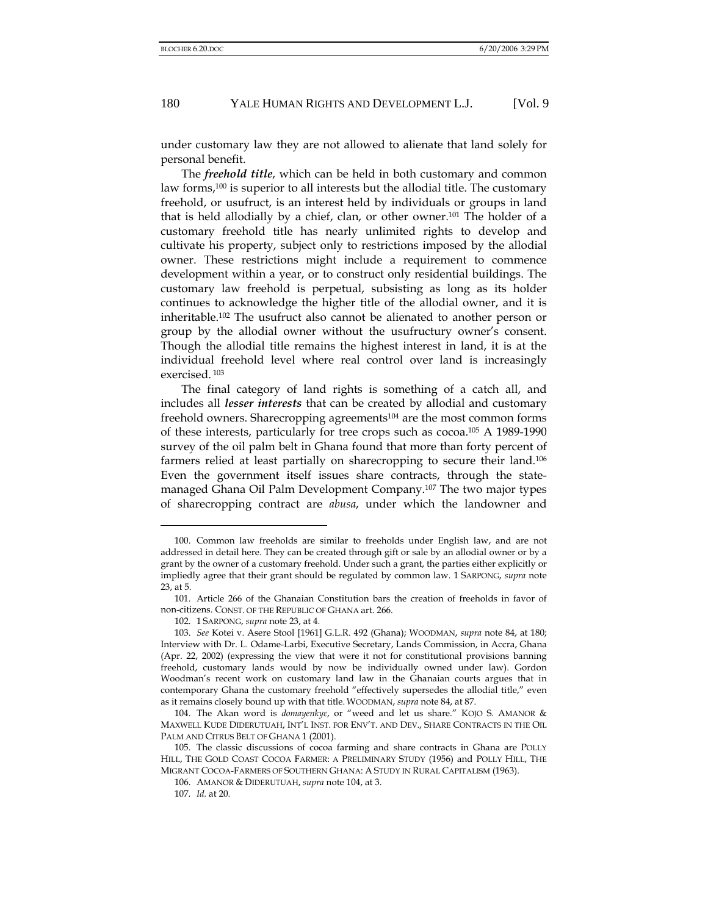under customary law they are not allowed to alienate that land solely for personal benefit.

The *freehold title*, which can be held in both customary and common law forms,<sup>100</sup> is superior to all interests but the allodial title. The customary freehold, or usufruct, is an interest held by individuals or groups in land that is held allodially by a chief, clan, or other owner.101 The holder of a customary freehold title has nearly unlimited rights to develop and cultivate his property, subject only to restrictions imposed by the allodial owner. These restrictions might include a requirement to commence development within a year, or to construct only residential buildings. The customary law freehold is perpetual, subsisting as long as its holder continues to acknowledge the higher title of the allodial owner, and it is inheritable.102 The usufruct also cannot be alienated to another person or group by the allodial owner without the usufructury owner's consent. Though the allodial title remains the highest interest in land, it is at the individual freehold level where real control over land is increasingly exercised. 103

The final category of land rights is something of a catch all, and includes all *lesser interests* that can be created by allodial and customary freehold owners. Sharecropping agreements<sup>104</sup> are the most common forms of these interests, particularly for tree crops such as cocoa.105 A 1989-1990 survey of the oil palm belt in Ghana found that more than forty percent of farmers relied at least partially on sharecropping to secure their land.106 Even the government itself issues share contracts, through the statemanaged Ghana Oil Palm Development Company.107 The two major types of sharecropping contract are *abusa*, under which the landowner and

<sup>100.</sup> Common law freeholds are similar to freeholds under English law, and are not addressed in detail here. They can be created through gift or sale by an allodial owner or by a grant by the owner of a customary freehold. Under such a grant, the parties either explicitly or impliedly agree that their grant should be regulated by common law. 1 SARPONG, *supra* note 23, at 5.

<sup>101.</sup> Article 266 of the Ghanaian Constitution bars the creation of freeholds in favor of non-citizens. CONST. OF THE REPUBLIC OF GHANA art. 266.

<sup>102. 1</sup> SARPONG, *supra* note 23, at 4.

<sup>103.</sup> *See* Kotei v. Asere Stool [1961] G.L.R. 492 (Ghana); WOODMAN, *supra* note 84, at 180; Interview with Dr. L. Odame-Larbi, Executive Secretary, Lands Commission, in Accra, Ghana (Apr. 22, 2002) (expressing the view that were it not for constitutional provisions banning freehold, customary lands would by now be individually owned under law). Gordon Woodman's recent work on customary land law in the Ghanaian courts argues that in contemporary Ghana the customary freehold "effectively supersedes the allodial title," even as it remains closely bound up with that title. WOODMAN, *supra* note 84, at 87.

<sup>104.</sup> The Akan word is *domayenkyε*, or "weed and let us share." KOJO S. AMANOR & MAXWELL KUDE DIDERUTUAH, INT'L INST. FOR ENV'T. AND DEV., SHARE CONTRACTS IN THE OIL PALM AND CITRUS BELT OF GHANA 1 (2001).

<sup>105.</sup> The classic discussions of cocoa farming and share contracts in Ghana are POLLY HILL, THE GOLD COAST COCOA FARMER: A PRELIMINARY STUDY (1956) and POLLY HILL, THE MIGRANT COCOA-FARMERS OF SOUTHERN GHANA: A STUDY IN RURAL CAPITALISM (1963).

<sup>106.</sup> AMANOR & DIDERUTUAH, *supra* note 104, at 3.

<sup>107</sup>*. Id.* at 20.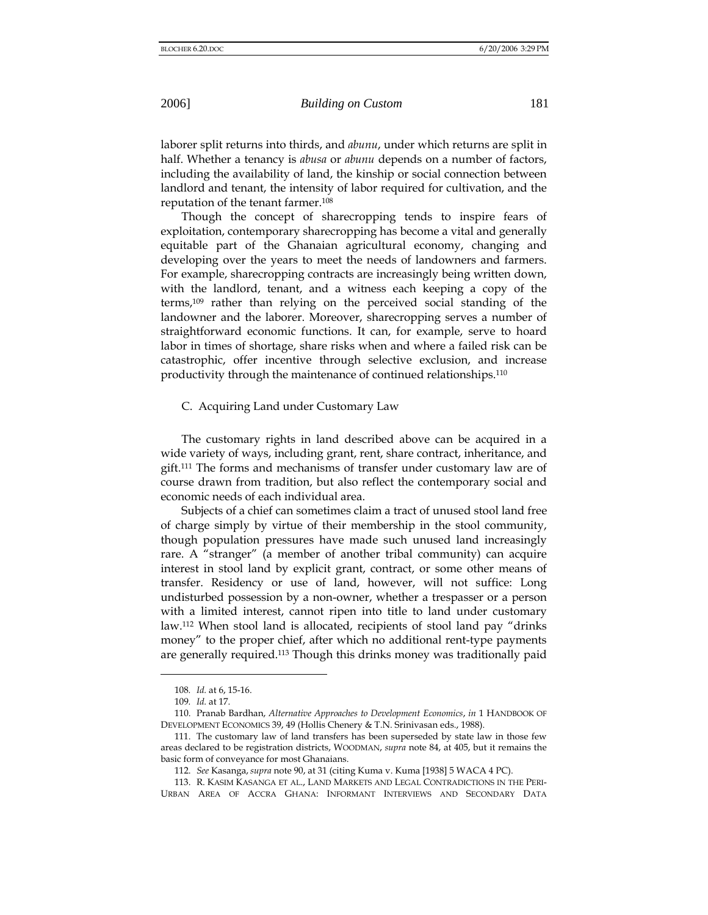laborer split returns into thirds, and *abunu*, under which returns are split in half. Whether a tenancy is *abusa* or *abunu* depends on a number of factors, including the availability of land, the kinship or social connection between landlord and tenant, the intensity of labor required for cultivation, and the reputation of the tenant farmer.108

Though the concept of sharecropping tends to inspire fears of exploitation, contemporary sharecropping has become a vital and generally equitable part of the Ghanaian agricultural economy, changing and developing over the years to meet the needs of landowners and farmers. For example, sharecropping contracts are increasingly being written down, with the landlord, tenant, and a witness each keeping a copy of the terms,109 rather than relying on the perceived social standing of the landowner and the laborer. Moreover, sharecropping serves a number of straightforward economic functions. It can, for example, serve to hoard labor in times of shortage, share risks when and where a failed risk can be catastrophic, offer incentive through selective exclusion, and increase productivity through the maintenance of continued relationships.110

C. Acquiring Land under Customary Law

The customary rights in land described above can be acquired in a wide variety of ways, including grant, rent, share contract, inheritance, and gift.111 The forms and mechanisms of transfer under customary law are of course drawn from tradition, but also reflect the contemporary social and economic needs of each individual area.

Subjects of a chief can sometimes claim a tract of unused stool land free of charge simply by virtue of their membership in the stool community, though population pressures have made such unused land increasingly rare. A "stranger" (a member of another tribal community) can acquire interest in stool land by explicit grant, contract, or some other means of transfer. Residency or use of land, however, will not suffice: Long undisturbed possession by a non-owner, whether a trespasser or a person with a limited interest, cannot ripen into title to land under customary law.112 When stool land is allocated, recipients of stool land pay "drinks money" to the proper chief, after which no additional rent-type payments are generally required.113 Though this drinks money was traditionally paid

<sup>108</sup>*. Id.* at 6, 15-16.

<sup>109</sup>*. Id.* at 17.

<sup>110.</sup> Pranab Bardhan, *Alternative Approaches to Development Economics*, *in* 1 HANDBOOK OF DEVELOPMENT ECONOMICS 39, 49 (Hollis Chenery & T.N. Srinivasan eds., 1988).

<sup>111.</sup> The customary law of land transfers has been superseded by state law in those few areas declared to be registration districts, WOODMAN, *supra* note 84, at 405, but it remains the basic form of conveyance for most Ghanaians.

<sup>112.</sup> *See* Kasanga, *supra* note 90, at 31 (citing Kuma v. Kuma [1938] 5 WACA 4 PC).

<sup>113.</sup> R. KASIM KASANGA ET AL., LAND MARKETS AND LEGAL CONTRADICTIONS IN THE PERI-URBAN AREA OF ACCRA GHANA: INFORMANT INTERVIEWS AND SECONDARY DATA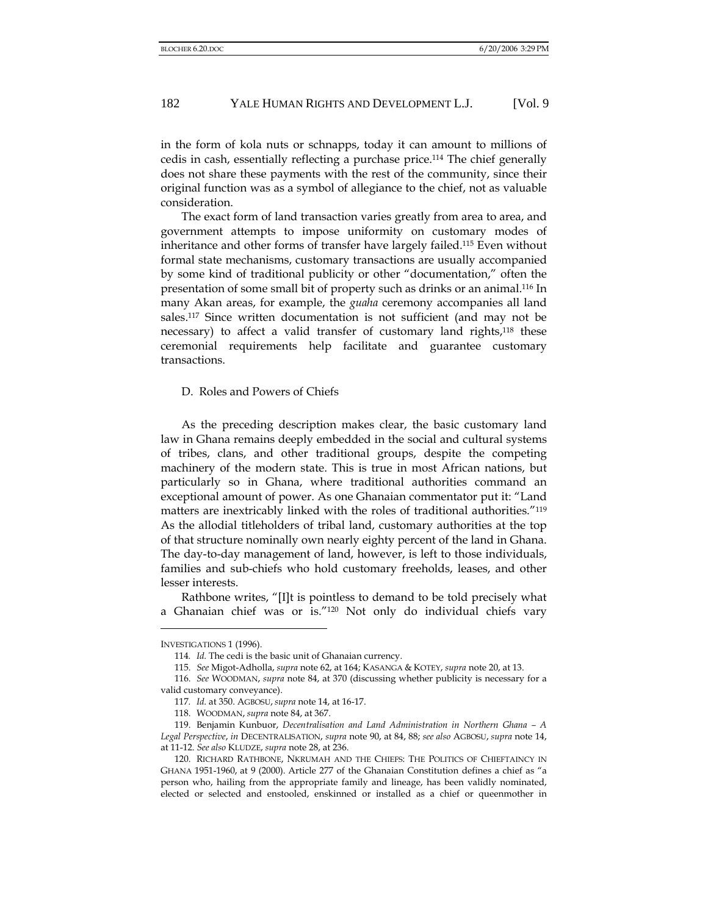in the form of kola nuts or schnapps, today it can amount to millions of cedis in cash, essentially reflecting a purchase price.114 The chief generally does not share these payments with the rest of the community, since their original function was as a symbol of allegiance to the chief, not as valuable consideration.

The exact form of land transaction varies greatly from area to area, and government attempts to impose uniformity on customary modes of inheritance and other forms of transfer have largely failed.115 Even without formal state mechanisms, customary transactions are usually accompanied by some kind of traditional publicity or other "documentation," often the presentation of some small bit of property such as drinks or an animal.116 In many Akan areas, for example, the *guaha* ceremony accompanies all land sales.117 Since written documentation is not sufficient (and may not be necessary) to affect a valid transfer of customary land rights,<sup>118</sup> these ceremonial requirements help facilitate and guarantee customary transactions.

D. Roles and Powers of Chiefs

As the preceding description makes clear, the basic customary land law in Ghana remains deeply embedded in the social and cultural systems of tribes, clans, and other traditional groups, despite the competing machinery of the modern state. This is true in most African nations, but particularly so in Ghana, where traditional authorities command an exceptional amount of power. As one Ghanaian commentator put it: "Land matters are inextricably linked with the roles of traditional authorities."119 As the allodial titleholders of tribal land, customary authorities at the top of that structure nominally own nearly eighty percent of the land in Ghana. The day-to-day management of land, however, is left to those individuals, families and sub-chiefs who hold customary freeholds, leases, and other lesser interests.

Rathbone writes, "[I]t is pointless to demand to be told precisely what a Ghanaian chief was or is."120 Not only do individual chiefs vary

INVESTIGATIONS 1 (1996).

<sup>114</sup>*. Id.* The cedi is the basic unit of Ghanaian currency.

<sup>115.</sup> *See* Migot-Adholla, *supra* note 62, at 164; KASANGA & KOTEY, *supra* note 20, at 13.

<sup>116.</sup> *See* WOODMAN, *supra* note 84, at 370 (discussing whether publicity is necessary for a valid customary conveyance).

<sup>117</sup>*. Id.* at 350. AGBOSU, *supra* note 14, at 16-17.

<sup>118.</sup> WOODMAN, *supra* note 84, at 367.

<sup>119.</sup> Benjamin Kunbuor, *Decentralisation and Land Administration in Northern Ghana – A Legal Perspective*, *in* DECENTRALISATION, *supra* note 90, at 84, 88; *see also* AGBOSU, *supra* note 14, at 11-12. *See also* KLUDZE, *supra* note 28, at 236.

<sup>120.</sup> RICHARD RATHBONE, NKRUMAH AND THE CHIEFS: THE POLITICS OF CHIEFTAINCY IN GHANA 1951-1960, at 9 (2000). Article 277 of the Ghanaian Constitution defines a chief as "a person who, hailing from the appropriate family and lineage, has been validly nominated, elected or selected and enstooled, enskinned or installed as a chief or queenmother in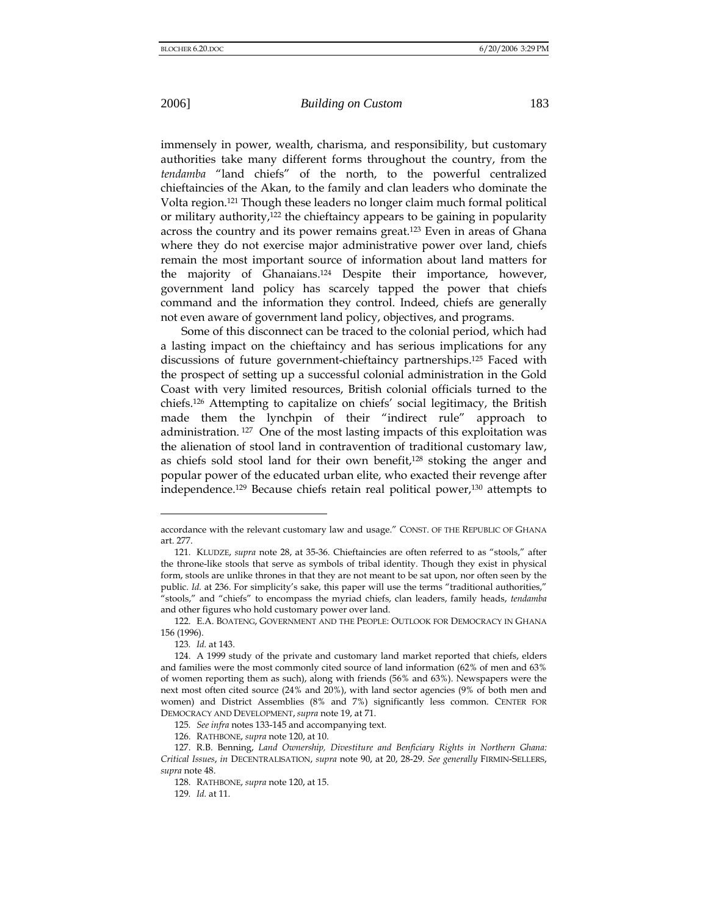immensely in power, wealth, charisma, and responsibility, but customary authorities take many different forms throughout the country, from the *tendamba* "land chiefs" of the north, to the powerful centralized chieftaincies of the Akan, to the family and clan leaders who dominate the Volta region.121 Though these leaders no longer claim much formal political or military authority,<sup>122</sup> the chieftaincy appears to be gaining in popularity across the country and its power remains great.123 Even in areas of Ghana where they do not exercise major administrative power over land, chiefs remain the most important source of information about land matters for the majority of Ghanaians.124 Despite their importance, however, government land policy has scarcely tapped the power that chiefs command and the information they control. Indeed, chiefs are generally not even aware of government land policy, objectives, and programs.

Some of this disconnect can be traced to the colonial period, which had a lasting impact on the chieftaincy and has serious implications for any discussions of future government-chieftaincy partnerships.125 Faced with the prospect of setting up a successful colonial administration in the Gold Coast with very limited resources, British colonial officials turned to the chiefs.126 Attempting to capitalize on chiefs' social legitimacy, the British made them the lynchpin of their "indirect rule" approach to administration. 127 One of the most lasting impacts of this exploitation was the alienation of stool land in contravention of traditional customary law, as chiefs sold stool land for their own benefit,128 stoking the anger and popular power of the educated urban elite, who exacted their revenge after independence.129 Because chiefs retain real political power,130 attempts to

l

129*. Id.* at 11.

accordance with the relevant customary law and usage." CONST. OF THE REPUBLIC OF GHANA art. 277.

<sup>121.</sup> KLUDZE, *supra* note 28, at 35-36. Chieftaincies are often referred to as "stools," after the throne-like stools that serve as symbols of tribal identity. Though they exist in physical form, stools are unlike thrones in that they are not meant to be sat upon, nor often seen by the public. *Id.* at 236. For simplicity's sake, this paper will use the terms "traditional authorities," "stools," and "chiefs" to encompass the myriad chiefs, clan leaders, family heads, *tendamba* and other figures who hold customary power over land.

<sup>122.</sup> E.A. BOATENG, GOVERNMENT AND THE PEOPLE: OUTLOOK FOR DEMOCRACY IN GHANA 156 (1996).

<sup>123</sup>*. Id.* at 143.

<sup>124.</sup> A 1999 study of the private and customary land market reported that chiefs, elders and families were the most commonly cited source of land information (62% of men and 63% of women reporting them as such), along with friends (56% and 63%). Newspapers were the next most often cited source (24% and 20%), with land sector agencies (9% of both men and women) and District Assemblies (8% and 7%) significantly less common. CENTER FOR DEMOCRACY AND DEVELOPMENT, *supra* note 19, at 71.

<sup>125</sup>*. See infra* notes 133-145 and accompanying text.

<sup>126.</sup> RATHBONE, *supra* note 120, at 10.

<sup>127.</sup> R.B. Benning, *Land Ownership, Divestiture and Benficiary Rights in Northern Ghana: Critical Issues*, *in* DECENTRALISATION, *supra* note 90, at 20, 28-29. *See generally* FIRMIN-SELLERS, *supra* note 48.

<sup>128.</sup> RATHBONE, *supra* note 120, at 15.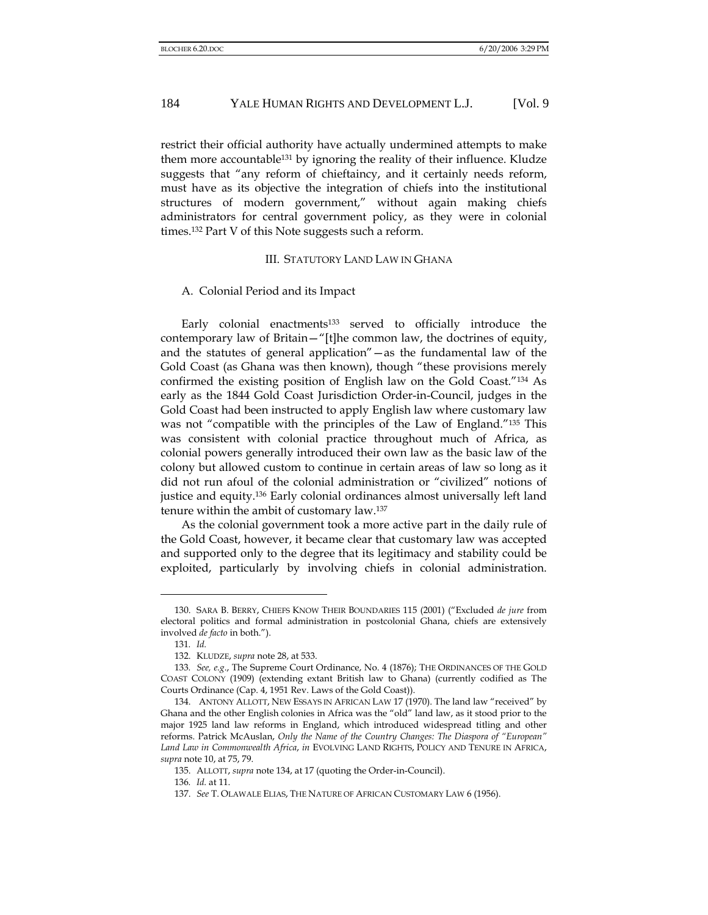restrict their official authority have actually undermined attempts to make them more accountable<sup>131</sup> by ignoring the reality of their influence. Kludze suggests that "any reform of chieftaincy, and it certainly needs reform, must have as its objective the integration of chiefs into the institutional structures of modern government," without again making chiefs administrators for central government policy, as they were in colonial times.132 Part V of this Note suggests such a reform.

#### III. STATUTORY LAND LAW IN GHANA

#### A. Colonial Period and its Impact

Early colonial enactments<sup>133</sup> served to officially introduce the contemporary law of Britain—"[t]he common law, the doctrines of equity, and the statutes of general application"—as the fundamental law of the Gold Coast (as Ghana was then known), though "these provisions merely confirmed the existing position of English law on the Gold Coast."134 As early as the 1844 Gold Coast Jurisdiction Order-in-Council, judges in the Gold Coast had been instructed to apply English law where customary law was not "compatible with the principles of the Law of England."135 This was consistent with colonial practice throughout much of Africa, as colonial powers generally introduced their own law as the basic law of the colony but allowed custom to continue in certain areas of law so long as it did not run afoul of the colonial administration or "civilized" notions of justice and equity.136 Early colonial ordinances almost universally left land tenure within the ambit of customary law.137

As the colonial government took a more active part in the daily rule of the Gold Coast, however, it became clear that customary law was accepted and supported only to the degree that its legitimacy and stability could be exploited, particularly by involving chiefs in colonial administration.

<sup>130.</sup> SARA B. BERRY, CHIEFS KNOW THEIR BOUNDARIES 115 (2001) ("Excluded *de jure* from electoral politics and formal administration in postcolonial Ghana, chiefs are extensively involved *de facto* in both.").

<sup>131</sup>*. Id.*

<sup>132.</sup> KLUDZE, *supra* note 28, at 533.

<sup>133</sup>*. See, e.g*., The Supreme Court Ordinance, No. 4 (1876); THE ORDINANCES OF THE GOLD COAST COLONY (1909) (extending extant British law to Ghana) (currently codified as The Courts Ordinance (Cap. 4, 1951 Rev. Laws of the Gold Coast)).

<sup>134.</sup> ANTONY ALLOTT, NEW ESSAYS IN AFRICAN LAW 17 (1970). The land law "received" by Ghana and the other English colonies in Africa was the "old" land law, as it stood prior to the major 1925 land law reforms in England, which introduced widespread titling and other reforms. Patrick McAuslan, *Only the Name of the Country Changes: The Diaspora of "European" Land Law in Commonwealth Africa*, *in* EVOLVING LAND RIGHTS, POLICY AND TENURE IN AFRICA, *supra* note 10, at 75, 79.

<sup>135.</sup> ALLOTT, *supra* note 134, at 17 (quoting the Order-in-Council).

<sup>136</sup>*. Id.* at 11.

<sup>137.</sup> *See* T. OLAWALE ELIAS, THE NATURE OF AFRICAN CUSTOMARY LAW 6 (1956).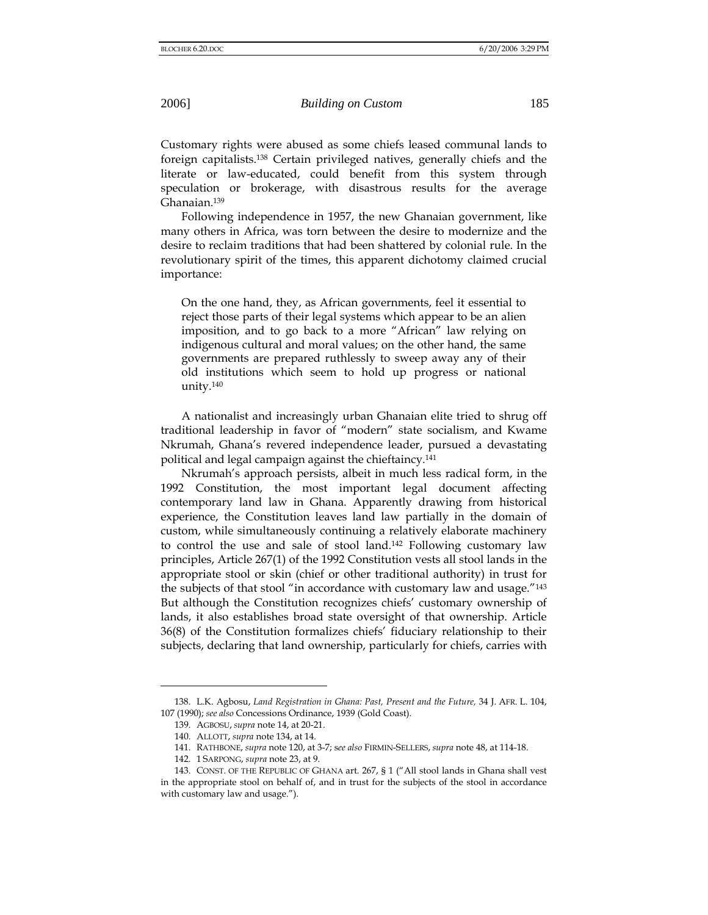Customary rights were abused as some chiefs leased communal lands to foreign capitalists.138 Certain privileged natives, generally chiefs and the literate or law-educated, could benefit from this system through speculation or brokerage, with disastrous results for the average Ghanaian.139

Following independence in 1957, the new Ghanaian government, like many others in Africa, was torn between the desire to modernize and the desire to reclaim traditions that had been shattered by colonial rule. In the revolutionary spirit of the times, this apparent dichotomy claimed crucial importance:

On the one hand, they, as African governments, feel it essential to reject those parts of their legal systems which appear to be an alien imposition, and to go back to a more "African" law relying on indigenous cultural and moral values; on the other hand, the same governments are prepared ruthlessly to sweep away any of their old institutions which seem to hold up progress or national unity.140

A nationalist and increasingly urban Ghanaian elite tried to shrug off traditional leadership in favor of "modern" state socialism, and Kwame Nkrumah, Ghana's revered independence leader, pursued a devastating political and legal campaign against the chieftaincy.141

Nkrumah's approach persists, albeit in much less radical form, in the 1992 Constitution, the most important legal document affecting contemporary land law in Ghana. Apparently drawing from historical experience, the Constitution leaves land law partially in the domain of custom, while simultaneously continuing a relatively elaborate machinery to control the use and sale of stool land.142 Following customary law principles, Article 267(1) of the 1992 Constitution vests all stool lands in the appropriate stool or skin (chief or other traditional authority) in trust for the subjects of that stool "in accordance with customary law and usage."143 But although the Constitution recognizes chiefs' customary ownership of lands, it also establishes broad state oversight of that ownership. Article 36(8) of the Constitution formalizes chiefs' fiduciary relationship to their subjects, declaring that land ownership, particularly for chiefs, carries with

<sup>138.</sup> L.K. Agbosu, *Land Registration in Ghana: Past, Present and the Future,* 34 J. AFR. L. 104, 107 (1990); *see also* Concessions Ordinance, 1939 (Gold Coast).

<sup>139.</sup> AGBOSU, *supra* note 14, at 20-21.

<sup>140.</sup> ALLOTT, *supra* note 134, at 14.

<sup>141.</sup> RATHBONE, *supra* note 120, at 3-7; s*ee also* FIRMIN-SELLERS, *supra* note 48, at 114-18.

<sup>142. 1</sup> SARPONG, *supra* note 23, at 9.

<sup>143.</sup> CONST. OF THE REPUBLIC OF GHANA art. 267, § 1 ("All stool lands in Ghana shall vest in the appropriate stool on behalf of, and in trust for the subjects of the stool in accordance with customary law and usage.").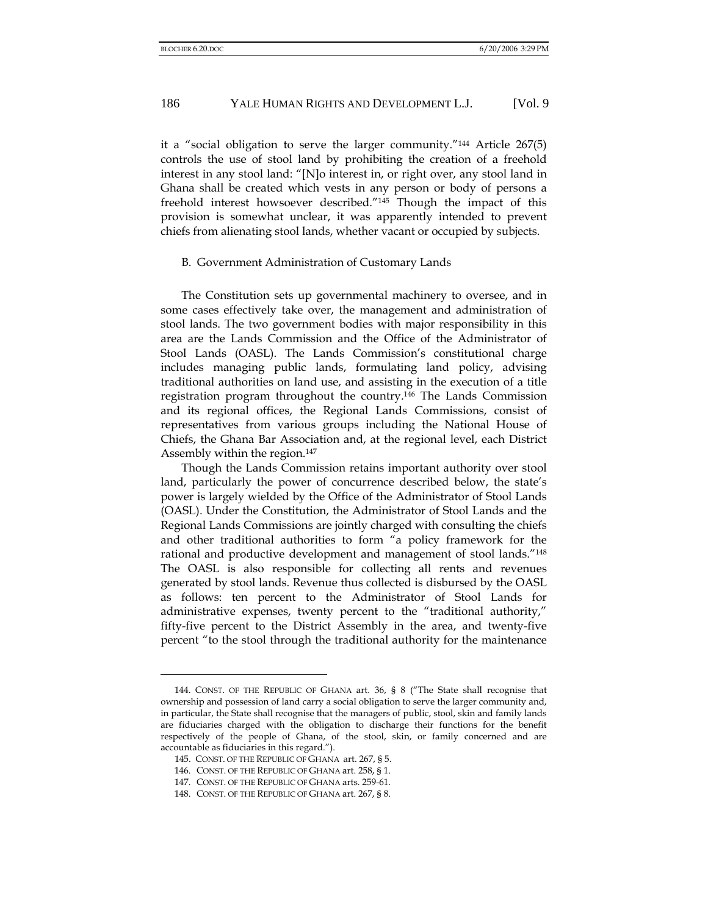it a "social obligation to serve the larger community."144 Article 267(5) controls the use of stool land by prohibiting the creation of a freehold interest in any stool land: "[N]o interest in, or right over, any stool land in Ghana shall be created which vests in any person or body of persons a freehold interest howsoever described."145 Though the impact of this provision is somewhat unclear, it was apparently intended to prevent chiefs from alienating stool lands, whether vacant or occupied by subjects.

#### B. Government Administration of Customary Lands

The Constitution sets up governmental machinery to oversee, and in some cases effectively take over, the management and administration of stool lands. The two government bodies with major responsibility in this area are the Lands Commission and the Office of the Administrator of Stool Lands (OASL). The Lands Commission's constitutional charge includes managing public lands, formulating land policy, advising traditional authorities on land use, and assisting in the execution of a title registration program throughout the country.146 The Lands Commission and its regional offices, the Regional Lands Commissions, consist of representatives from various groups including the National House of Chiefs, the Ghana Bar Association and, at the regional level, each District Assembly within the region.147

Though the Lands Commission retains important authority over stool land, particularly the power of concurrence described below, the state's power is largely wielded by the Office of the Administrator of Stool Lands (OASL). Under the Constitution, the Administrator of Stool Lands and the Regional Lands Commissions are jointly charged with consulting the chiefs and other traditional authorities to form "a policy framework for the rational and productive development and management of stool lands."148 The OASL is also responsible for collecting all rents and revenues generated by stool lands. Revenue thus collected is disbursed by the OASL as follows: ten percent to the Administrator of Stool Lands for administrative expenses, twenty percent to the "traditional authority," fifty-five percent to the District Assembly in the area, and twenty-five percent "to the stool through the traditional authority for the maintenance

<sup>144.</sup> CONST. OF THE REPUBLIC OF GHANA art. 36, § 8 ("The State shall recognise that ownership and possession of land carry a social obligation to serve the larger community and, in particular, the State shall recognise that the managers of public, stool, skin and family lands are fiduciaries charged with the obligation to discharge their functions for the benefit respectively of the people of Ghana, of the stool, skin, or family concerned and are accountable as fiduciaries in this regard.").

<sup>145.</sup> CONST. OF THE REPUBLIC OF GHANA art. 267, § 5.

<sup>146.</sup> CONST. OF THE REPUBLIC OF GHANA art. 258, § 1.

<sup>147.</sup> CONST. OF THE REPUBLIC OF GHANA arts. 259-61.

<sup>148.</sup> CONST. OF THE REPUBLIC OF GHANA art. 267, § 8.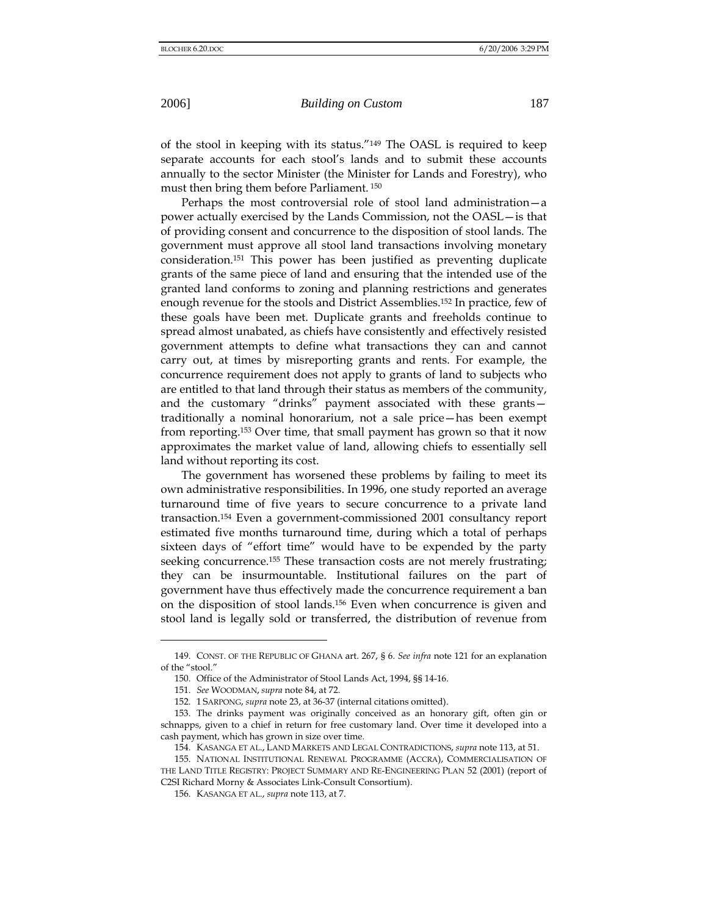of the stool in keeping with its status."149 The OASL is required to keep separate accounts for each stool's lands and to submit these accounts annually to the sector Minister (the Minister for Lands and Forestry), who must then bring them before Parliament. 150

Perhaps the most controversial role of stool land administration—a power actually exercised by the Lands Commission, not the OASL—is that of providing consent and concurrence to the disposition of stool lands. The government must approve all stool land transactions involving monetary consideration.151 This power has been justified as preventing duplicate grants of the same piece of land and ensuring that the intended use of the granted land conforms to zoning and planning restrictions and generates enough revenue for the stools and District Assemblies.152 In practice, few of these goals have been met. Duplicate grants and freeholds continue to spread almost unabated, as chiefs have consistently and effectively resisted government attempts to define what transactions they can and cannot carry out, at times by misreporting grants and rents. For example, the concurrence requirement does not apply to grants of land to subjects who are entitled to that land through their status as members of the community, and the customary "drinks" payment associated with these grants traditionally a nominal honorarium, not a sale price—has been exempt from reporting.153 Over time, that small payment has grown so that it now approximates the market value of land, allowing chiefs to essentially sell land without reporting its cost.

The government has worsened these problems by failing to meet its own administrative responsibilities. In 1996, one study reported an average turnaround time of five years to secure concurrence to a private land transaction.154 Even a government-commissioned 2001 consultancy report estimated five months turnaround time, during which a total of perhaps sixteen days of "effort time" would have to be expended by the party seeking concurrence.<sup>155</sup> These transaction costs are not merely frustrating; they can be insurmountable. Institutional failures on the part of government have thus effectively made the concurrence requirement a ban on the disposition of stool lands.156 Even when concurrence is given and stool land is legally sold or transferred, the distribution of revenue from

<sup>149.</sup> CONST. OF THE REPUBLIC OF GHANA art. 267, § 6. *See infra* note 121 for an explanation of the "stool."

<sup>150.</sup> Office of the Administrator of Stool Lands Act, 1994, §§ 14-16.

<sup>151.</sup> *See* WOODMAN, *supra* note 84, at 72.

<sup>152. 1</sup> SARPONG, *supra* note 23, at 36-37 (internal citations omitted).

<sup>153.</sup> The drinks payment was originally conceived as an honorary gift, often gin or schnapps, given to a chief in return for free customary land. Over time it developed into a cash payment, which has grown in size over time.

<sup>154.</sup> KASANGA ET AL., LAND MARKETS AND LEGAL CONTRADICTIONS, *supra* note 113, at 51.

<sup>155.</sup> NATIONAL INSTITUTIONAL RENEWAL PROGRAMME (ACCRA), COMMERCIALISATION OF THE LAND TITLE REGISTRY: PROJECT SUMMARY AND RE-ENGINEERING PLAN 52 (2001) (report of C2SI Richard Morny & Associates Link-Consult Consortium).

<sup>156.</sup> KASANGA ET AL., *supra* note 113, at 7.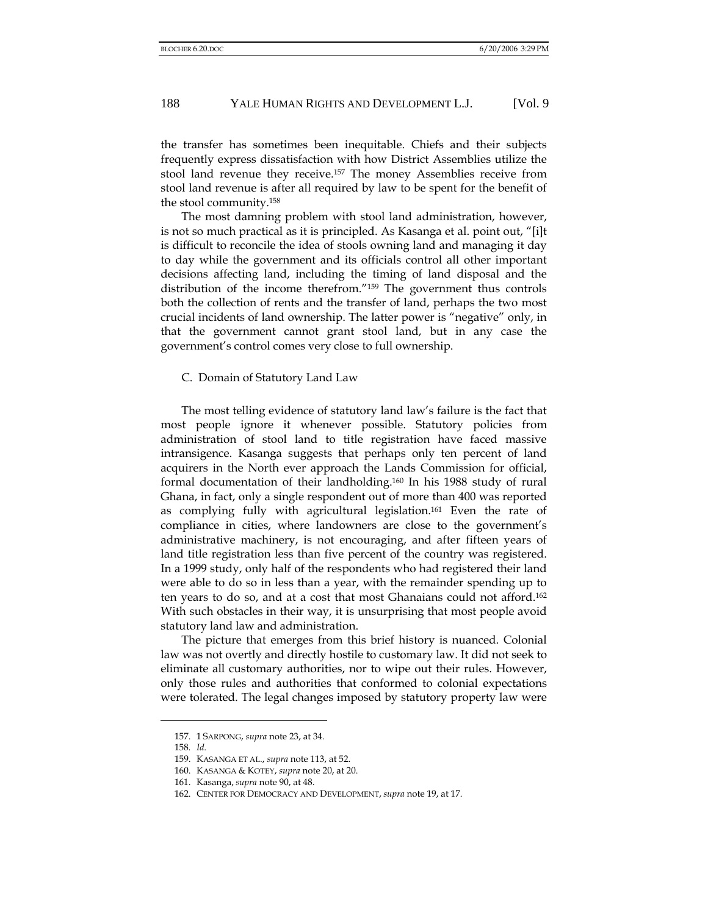the transfer has sometimes been inequitable. Chiefs and their subjects frequently express dissatisfaction with how District Assemblies utilize the stool land revenue they receive.157 The money Assemblies receive from stool land revenue is after all required by law to be spent for the benefit of the stool community.158

The most damning problem with stool land administration, however, is not so much practical as it is principled. As Kasanga et al. point out, "[i]t is difficult to reconcile the idea of stools owning land and managing it day to day while the government and its officials control all other important decisions affecting land, including the timing of land disposal and the distribution of the income therefrom."159 The government thus controls both the collection of rents and the transfer of land, perhaps the two most crucial incidents of land ownership. The latter power is "negative" only, in that the government cannot grant stool land, but in any case the government's control comes very close to full ownership.

C. Domain of Statutory Land Law

The most telling evidence of statutory land law's failure is the fact that most people ignore it whenever possible. Statutory policies from administration of stool land to title registration have faced massive intransigence. Kasanga suggests that perhaps only ten percent of land acquirers in the North ever approach the Lands Commission for official, formal documentation of their landholding.160 In his 1988 study of rural Ghana, in fact, only a single respondent out of more than 400 was reported as complying fully with agricultural legislation.161 Even the rate of compliance in cities, where landowners are close to the government's administrative machinery, is not encouraging, and after fifteen years of land title registration less than five percent of the country was registered. In a 1999 study, only half of the respondents who had registered their land were able to do so in less than a year, with the remainder spending up to ten years to do so, and at a cost that most Ghanaians could not afford.162 With such obstacles in their way, it is unsurprising that most people avoid statutory land law and administration.

The picture that emerges from this brief history is nuanced. Colonial law was not overtly and directly hostile to customary law. It did not seek to eliminate all customary authorities, nor to wipe out their rules. However, only those rules and authorities that conformed to colonial expectations were tolerated. The legal changes imposed by statutory property law were

<sup>157. 1</sup> SARPONG, *supra* note 23, at 34.

<sup>158</sup>*. Id.*

<sup>159.</sup> KASANGA ET AL., *supra* note 113, at 52.

<sup>160.</sup> KASANGA & KOTEY, *supra* note 20, at 20.

<sup>161.</sup> Kasanga, *supra* note 90, at 48.

<sup>162.</sup> CENTER FOR DEMOCRACY AND DEVELOPMENT, *supra* note 19, at 17.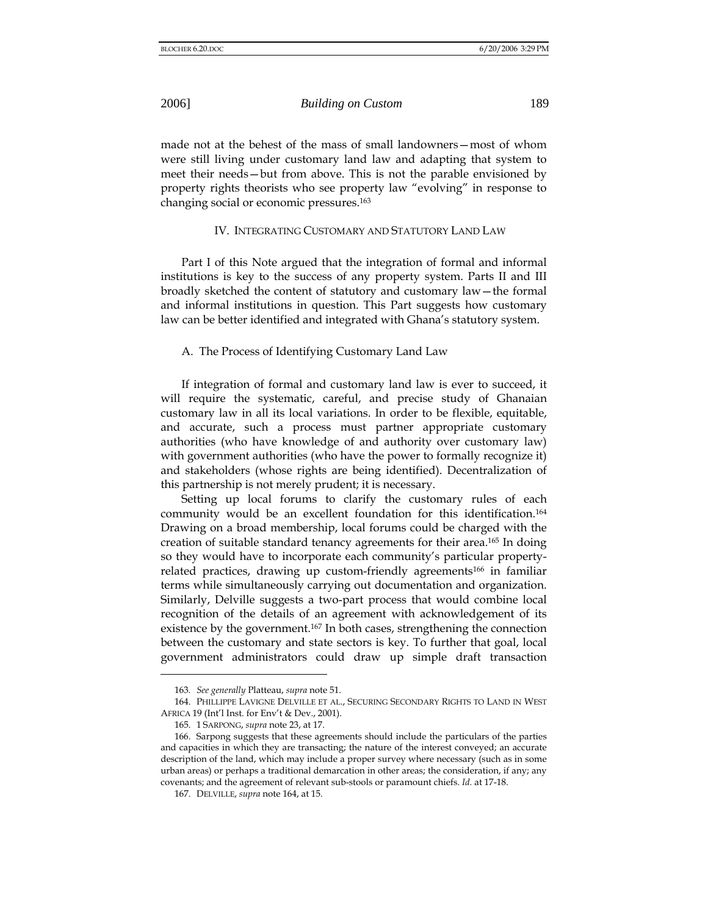made not at the behest of the mass of small landowners—most of whom were still living under customary land law and adapting that system to meet their needs—but from above. This is not the parable envisioned by property rights theorists who see property law "evolving" in response to changing social or economic pressures.163

#### IV. INTEGRATING CUSTOMARY AND STATUTORY LAND LAW

Part I of this Note argued that the integration of formal and informal institutions is key to the success of any property system. Parts II and III broadly sketched the content of statutory and customary law—the formal and informal institutions in question. This Part suggests how customary law can be better identified and integrated with Ghana's statutory system.

## A. The Process of Identifying Customary Land Law

If integration of formal and customary land law is ever to succeed, it will require the systematic, careful, and precise study of Ghanaian customary law in all its local variations. In order to be flexible, equitable, and accurate, such a process must partner appropriate customary authorities (who have knowledge of and authority over customary law) with government authorities (who have the power to formally recognize it) and stakeholders (whose rights are being identified). Decentralization of this partnership is not merely prudent; it is necessary.

Setting up local forums to clarify the customary rules of each community would be an excellent foundation for this identification.164 Drawing on a broad membership, local forums could be charged with the creation of suitable standard tenancy agreements for their area.165 In doing so they would have to incorporate each community's particular propertyrelated practices, drawing up custom-friendly agreements<sup>166</sup> in familiar terms while simultaneously carrying out documentation and organization. Similarly, Delville suggests a two-part process that would combine local recognition of the details of an agreement with acknowledgement of its existence by the government.<sup>167</sup> In both cases, strengthening the connection between the customary and state sectors is key. To further that goal, local government administrators could draw up simple draft transaction

<sup>163</sup>*. See generally* Platteau, *supra* note 51.

<sup>164.</sup> PHILLIPPE LAVIGNE DELVILLE ET AL., SECURING SECONDARY RIGHTS TO LAND IN WEST AFRICA 19 (Int'l Inst. for Env't & Dev., 2001).

<sup>165. 1</sup> SARPONG, *supra* note 23, at 17.

<sup>166.</sup> Sarpong suggests that these agreements should include the particulars of the parties and capacities in which they are transacting; the nature of the interest conveyed; an accurate description of the land, which may include a proper survey where necessary (such as in some urban areas) or perhaps a traditional demarcation in other areas; the consideration, if any; any covenants; and the agreement of relevant sub-stools or paramount chiefs. *Id.* at 17-18.

<sup>167.</sup> DELVILLE, *supra* note 164, at 15.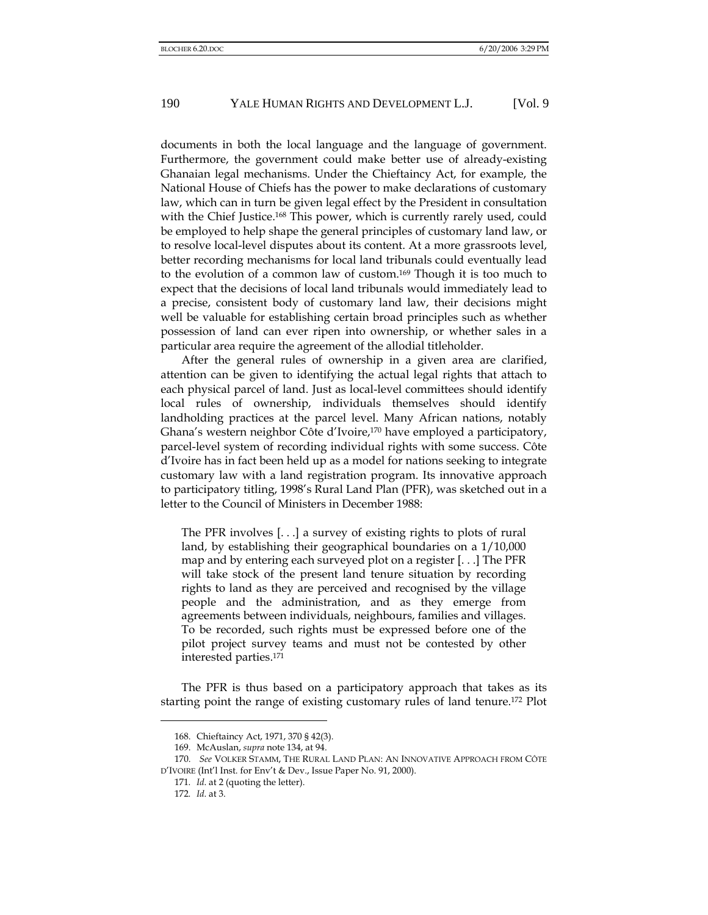documents in both the local language and the language of government. Furthermore, the government could make better use of already-existing Ghanaian legal mechanisms. Under the Chieftaincy Act, for example, the National House of Chiefs has the power to make declarations of customary law, which can in turn be given legal effect by the President in consultation with the Chief Justice.<sup>168</sup> This power, which is currently rarely used, could be employed to help shape the general principles of customary land law, or to resolve local-level disputes about its content. At a more grassroots level, better recording mechanisms for local land tribunals could eventually lead to the evolution of a common law of custom.169 Though it is too much to expect that the decisions of local land tribunals would immediately lead to a precise, consistent body of customary land law, their decisions might well be valuable for establishing certain broad principles such as whether possession of land can ever ripen into ownership, or whether sales in a particular area require the agreement of the allodial titleholder.

After the general rules of ownership in a given area are clarified, attention can be given to identifying the actual legal rights that attach to each physical parcel of land. Just as local-level committees should identify local rules of ownership, individuals themselves should identify landholding practices at the parcel level. Many African nations, notably Ghana's western neighbor Côte d'Ivoire,170 have employed a participatory, parcel-level system of recording individual rights with some success. Côte d'Ivoire has in fact been held up as a model for nations seeking to integrate customary law with a land registration program. Its innovative approach to participatory titling, 1998's Rural Land Plan (PFR), was sketched out in a letter to the Council of Ministers in December 1988:

The PFR involves [. . .] a survey of existing rights to plots of rural land, by establishing their geographical boundaries on a 1/10,000 map and by entering each surveyed plot on a register [. . .] The PFR will take stock of the present land tenure situation by recording rights to land as they are perceived and recognised by the village people and the administration, and as they emerge from agreements between individuals, neighbours, families and villages. To be recorded, such rights must be expressed before one of the pilot project survey teams and must not be contested by other interested parties.171

The PFR is thus based on a participatory approach that takes as its starting point the range of existing customary rules of land tenure.172 Plot

<sup>168.</sup> Chieftaincy Act, 1971, 370 § 42(3).

<sup>169.</sup> McAuslan, *supra* note 134, at 94.

<sup>170.</sup> *See* VOLKER STAMM, THE RURAL LAND PLAN: AN INNOVATIVE APPROACH FROM CÔTE D'IVOIRE (Int'l Inst. for Env't & Dev., Issue Paper No. 91, 2000).

<sup>171</sup>*. Id*. at 2 (quoting the letter).

<sup>172</sup>*. Id*. at 3.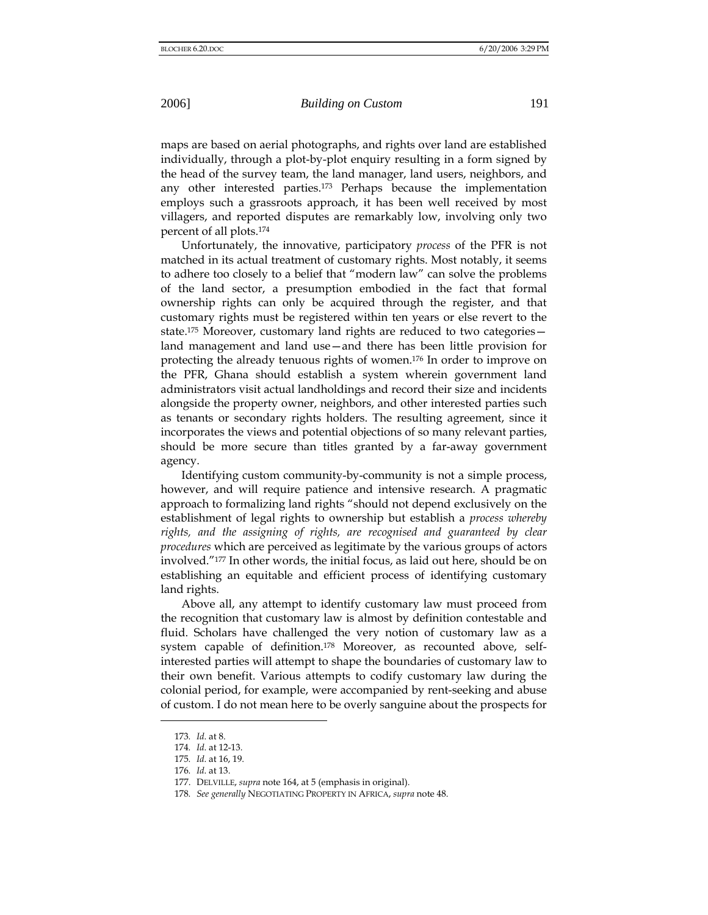maps are based on aerial photographs, and rights over land are established individually, through a plot-by-plot enquiry resulting in a form signed by the head of the survey team, the land manager, land users, neighbors, and any other interested parties.173 Perhaps because the implementation employs such a grassroots approach, it has been well received by most villagers, and reported disputes are remarkably low, involving only two percent of all plots.174

Unfortunately, the innovative, participatory *process* of the PFR is not matched in its actual treatment of customary rights. Most notably, it seems to adhere too closely to a belief that "modern law" can solve the problems of the land sector, a presumption embodied in the fact that formal ownership rights can only be acquired through the register, and that customary rights must be registered within ten years or else revert to the state.175 Moreover, customary land rights are reduced to two categories land management and land use—and there has been little provision for protecting the already tenuous rights of women.176 In order to improve on the PFR, Ghana should establish a system wherein government land administrators visit actual landholdings and record their size and incidents alongside the property owner, neighbors, and other interested parties such as tenants or secondary rights holders. The resulting agreement, since it incorporates the views and potential objections of so many relevant parties, should be more secure than titles granted by a far-away government agency.

Identifying custom community-by-community is not a simple process, however, and will require patience and intensive research. A pragmatic approach to formalizing land rights "should not depend exclusively on the establishment of legal rights to ownership but establish a *process whereby rights, and the assigning of rights, are recognised and guaranteed by clear procedures* which are perceived as legitimate by the various groups of actors involved."177 In other words, the initial focus, as laid out here, should be on establishing an equitable and efficient process of identifying customary land rights.

Above all, any attempt to identify customary law must proceed from the recognition that customary law is almost by definition contestable and fluid. Scholars have challenged the very notion of customary law as a system capable of definition.178 Moreover, as recounted above, selfinterested parties will attempt to shape the boundaries of customary law to their own benefit. Various attempts to codify customary law during the colonial period, for example, were accompanied by rent-seeking and abuse of custom. I do not mean here to be overly sanguine about the prospects for

<sup>173</sup>*. Id*. at 8.

<sup>174</sup>*. Id*. at 12-13.

<sup>175</sup>*. Id*. at 16, 19.

<sup>176</sup>*. Id*. at 13.

<sup>177.</sup> DELVILLE, *supra* note 164, at 5 (emphasis in original).

<sup>178</sup>*. See generally* NEGOTIATING PROPERTY IN AFRICA, *supra* note 48.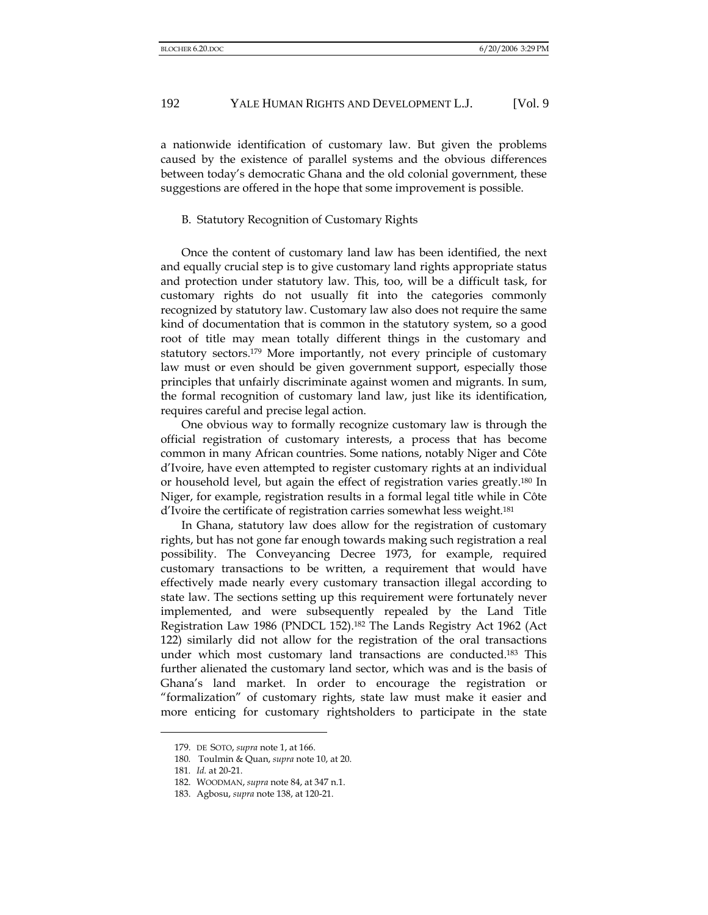a nationwide identification of customary law. But given the problems caused by the existence of parallel systems and the obvious differences between today's democratic Ghana and the old colonial government, these suggestions are offered in the hope that some improvement is possible.

#### B. Statutory Recognition of Customary Rights

Once the content of customary land law has been identified, the next and equally crucial step is to give customary land rights appropriate status and protection under statutory law. This, too, will be a difficult task, for customary rights do not usually fit into the categories commonly recognized by statutory law. Customary law also does not require the same kind of documentation that is common in the statutory system, so a good root of title may mean totally different things in the customary and statutory sectors.179 More importantly, not every principle of customary law must or even should be given government support, especially those principles that unfairly discriminate against women and migrants. In sum, the formal recognition of customary land law, just like its identification, requires careful and precise legal action.

One obvious way to formally recognize customary law is through the official registration of customary interests, a process that has become common in many African countries. Some nations, notably Niger and Côte d'Ivoire, have even attempted to register customary rights at an individual or household level, but again the effect of registration varies greatly.180 In Niger, for example, registration results in a formal legal title while in Côte d'Ivoire the certificate of registration carries somewhat less weight.181

In Ghana, statutory law does allow for the registration of customary rights, but has not gone far enough towards making such registration a real possibility. The Conveyancing Decree 1973, for example, required customary transactions to be written, a requirement that would have effectively made nearly every customary transaction illegal according to state law. The sections setting up this requirement were fortunately never implemented, and were subsequently repealed by the Land Title Registration Law 1986 (PNDCL 152).182 The Lands Registry Act 1962 (Act 122) similarly did not allow for the registration of the oral transactions under which most customary land transactions are conducted.183 This further alienated the customary land sector, which was and is the basis of Ghana's land market. In order to encourage the registration or "formalization" of customary rights, state law must make it easier and more enticing for customary rightsholders to participate in the state

<sup>179.</sup> DE SOTO, *supra* note 1, at 166.

<sup>180</sup>*.* Toulmin & Quan, *supra* note 10, at 20.

<sup>181</sup>*. Id.* at 20-21.

<sup>182.</sup> WOODMAN, *supra* note 84, at 347 n.1.

<sup>183.</sup> Agbosu, *supra* note 138, at 120-21.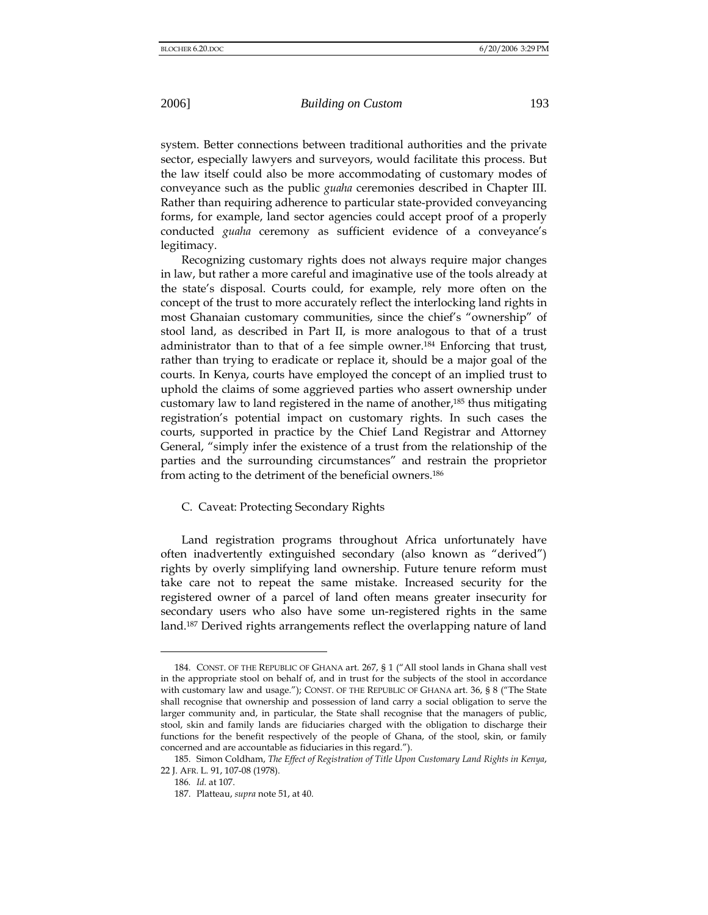system. Better connections between traditional authorities and the private sector, especially lawyers and surveyors, would facilitate this process. But the law itself could also be more accommodating of customary modes of conveyance such as the public *guaha* ceremonies described in Chapter III. Rather than requiring adherence to particular state-provided conveyancing forms, for example, land sector agencies could accept proof of a properly conducted *guaha* ceremony as sufficient evidence of a conveyance's legitimacy.

Recognizing customary rights does not always require major changes in law, but rather a more careful and imaginative use of the tools already at the state's disposal. Courts could, for example, rely more often on the concept of the trust to more accurately reflect the interlocking land rights in most Ghanaian customary communities, since the chief's "ownership" of stool land, as described in Part II, is more analogous to that of a trust administrator than to that of a fee simple owner.184 Enforcing that trust, rather than trying to eradicate or replace it, should be a major goal of the courts. In Kenya, courts have employed the concept of an implied trust to uphold the claims of some aggrieved parties who assert ownership under customary law to land registered in the name of another,<sup>185</sup> thus mitigating registration's potential impact on customary rights. In such cases the courts, supported in practice by the Chief Land Registrar and Attorney General, "simply infer the existence of a trust from the relationship of the parties and the surrounding circumstances" and restrain the proprietor from acting to the detriment of the beneficial owners.186

## C. Caveat: Protecting Secondary Rights

Land registration programs throughout Africa unfortunately have often inadvertently extinguished secondary (also known as "derived") rights by overly simplifying land ownership. Future tenure reform must take care not to repeat the same mistake. Increased security for the registered owner of a parcel of land often means greater insecurity for secondary users who also have some un-registered rights in the same land.<sup>187</sup> Derived rights arrangements reflect the overlapping nature of land

<sup>184.</sup> CONST. OF THE REPUBLIC OF GHANA art. 267, § 1 ("All stool lands in Ghana shall vest in the appropriate stool on behalf of, and in trust for the subjects of the stool in accordance with customary law and usage."); CONST. OF THE REPUBLIC OF GHANA art. 36, § 8 ("The State shall recognise that ownership and possession of land carry a social obligation to serve the larger community and, in particular, the State shall recognise that the managers of public, stool, skin and family lands are fiduciaries charged with the obligation to discharge their functions for the benefit respectively of the people of Ghana, of the stool, skin, or family concerned and are accountable as fiduciaries in this regard.").

<sup>185.</sup> Simon Coldham, *The Effect of Registration of Title Upon Customary Land Rights in Kenya*, 22 J. AFR. L. 91, 107-08 (1978).

<sup>186</sup>*. Id.* at 107.

<sup>187.</sup> Platteau, *supra* note 51, at 40.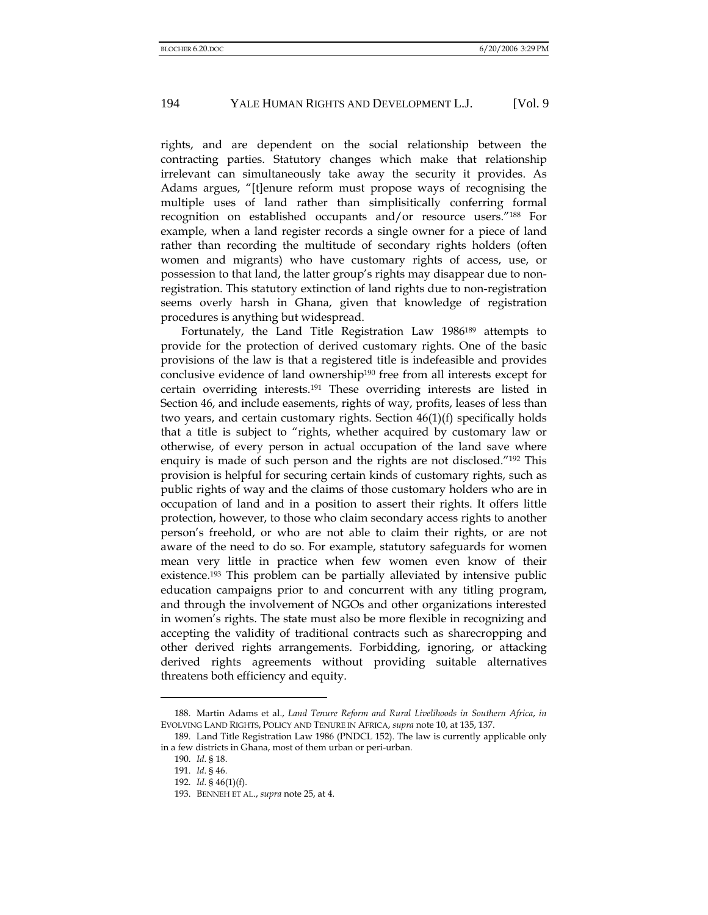rights, and are dependent on the social relationship between the contracting parties. Statutory changes which make that relationship irrelevant can simultaneously take away the security it provides. As Adams argues, "[t]enure reform must propose ways of recognising the multiple uses of land rather than simplisitically conferring formal recognition on established occupants and/or resource users."188 For example, when a land register records a single owner for a piece of land rather than recording the multitude of secondary rights holders (often women and migrants) who have customary rights of access, use, or possession to that land, the latter group's rights may disappear due to nonregistration. This statutory extinction of land rights due to non-registration seems overly harsh in Ghana, given that knowledge of registration procedures is anything but widespread.

Fortunately, the Land Title Registration Law 1986189 attempts to provide for the protection of derived customary rights. One of the basic provisions of the law is that a registered title is indefeasible and provides conclusive evidence of land ownership<sup>190</sup> free from all interests except for certain overriding interests.191 These overriding interests are listed in Section 46, and include easements, rights of way, profits, leases of less than two years, and certain customary rights. Section 46(1)(f) specifically holds that a title is subject to "rights, whether acquired by customary law or otherwise, of every person in actual occupation of the land save where enquiry is made of such person and the rights are not disclosed."192 This provision is helpful for securing certain kinds of customary rights, such as public rights of way and the claims of those customary holders who are in occupation of land and in a position to assert their rights. It offers little protection, however, to those who claim secondary access rights to another person's freehold, or who are not able to claim their rights, or are not aware of the need to do so. For example, statutory safeguards for women mean very little in practice when few women even know of their existence.193 This problem can be partially alleviated by intensive public education campaigns prior to and concurrent with any titling program, and through the involvement of NGOs and other organizations interested in women's rights. The state must also be more flexible in recognizing and accepting the validity of traditional contracts such as sharecropping and other derived rights arrangements. Forbidding, ignoring, or attacking derived rights agreements without providing suitable alternatives threatens both efficiency and equity.

<sup>188.</sup> Martin Adams et al., *Land Tenure Reform and Rural Livelihoods in Southern Africa*, *in*  EVOLVING LAND RIGHTS, POLICY AND TENURE IN AFRICA, *supra* note 10, at 135, 137.

<sup>189.</sup> Land Title Registration Law 1986 (PNDCL 152). The law is currently applicable only in a few districts in Ghana, most of them urban or peri-urban.

<sup>190.</sup> *Id*. § 18.

<sup>191.</sup> *Id*. § 46.

<sup>192.</sup> *Id*. § 46(1)(f).

<sup>193.</sup> BENNEH ET AL., *supra* note 25, at 4.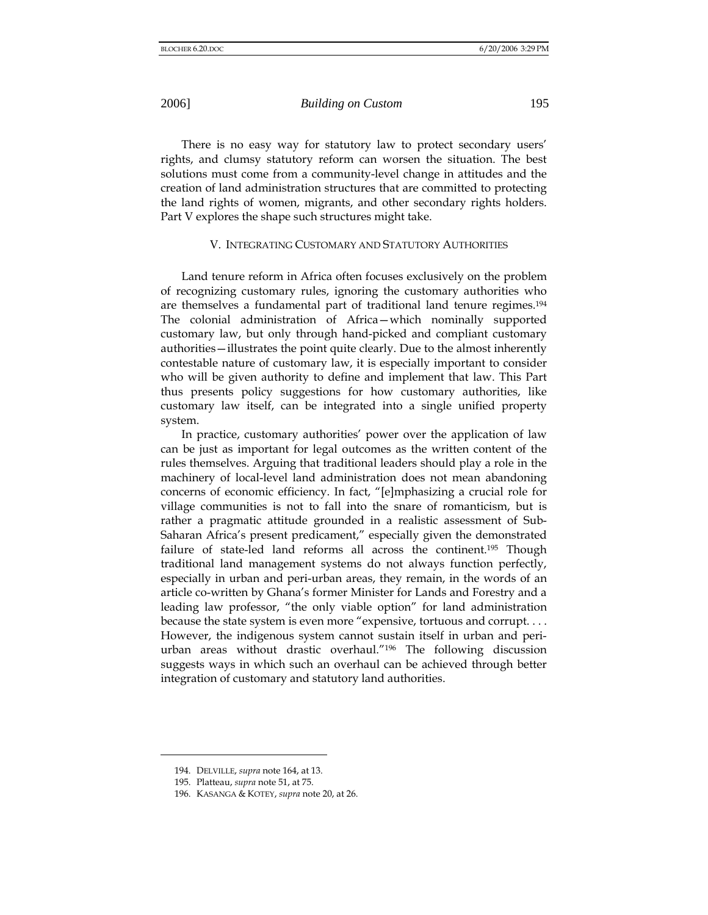There is no easy way for statutory law to protect secondary users' rights, and clumsy statutory reform can worsen the situation. The best solutions must come from a community-level change in attitudes and the creation of land administration structures that are committed to protecting the land rights of women, migrants, and other secondary rights holders. Part V explores the shape such structures might take.

## V. INTEGRATING CUSTOMARY AND STATUTORY AUTHORITIES

Land tenure reform in Africa often focuses exclusively on the problem of recognizing customary rules, ignoring the customary authorities who are themselves a fundamental part of traditional land tenure regimes.194 The colonial administration of Africa—which nominally supported customary law, but only through hand-picked and compliant customary authorities—illustrates the point quite clearly. Due to the almost inherently contestable nature of customary law, it is especially important to consider who will be given authority to define and implement that law. This Part thus presents policy suggestions for how customary authorities, like customary law itself, can be integrated into a single unified property system.

In practice, customary authorities' power over the application of law can be just as important for legal outcomes as the written content of the rules themselves. Arguing that traditional leaders should play a role in the machinery of local-level land administration does not mean abandoning concerns of economic efficiency. In fact, "[e]mphasizing a crucial role for village communities is not to fall into the snare of romanticism, but is rather a pragmatic attitude grounded in a realistic assessment of Sub-Saharan Africa's present predicament," especially given the demonstrated failure of state-led land reforms all across the continent.<sup>195</sup> Though traditional land management systems do not always function perfectly, especially in urban and peri-urban areas, they remain, in the words of an article co-written by Ghana's former Minister for Lands and Forestry and a leading law professor, "the only viable option" for land administration because the state system is even more "expensive, tortuous and corrupt. . . . However, the indigenous system cannot sustain itself in urban and periurban areas without drastic overhaul."196 The following discussion suggests ways in which such an overhaul can be achieved through better integration of customary and statutory land authorities.

<sup>194.</sup> DELVILLE, *supra* note 164, at 13.

<sup>195.</sup> Platteau, *supra* note 51, at 75.

<sup>196.</sup> KASANGA & KOTEY, *supra* note 20, at 26.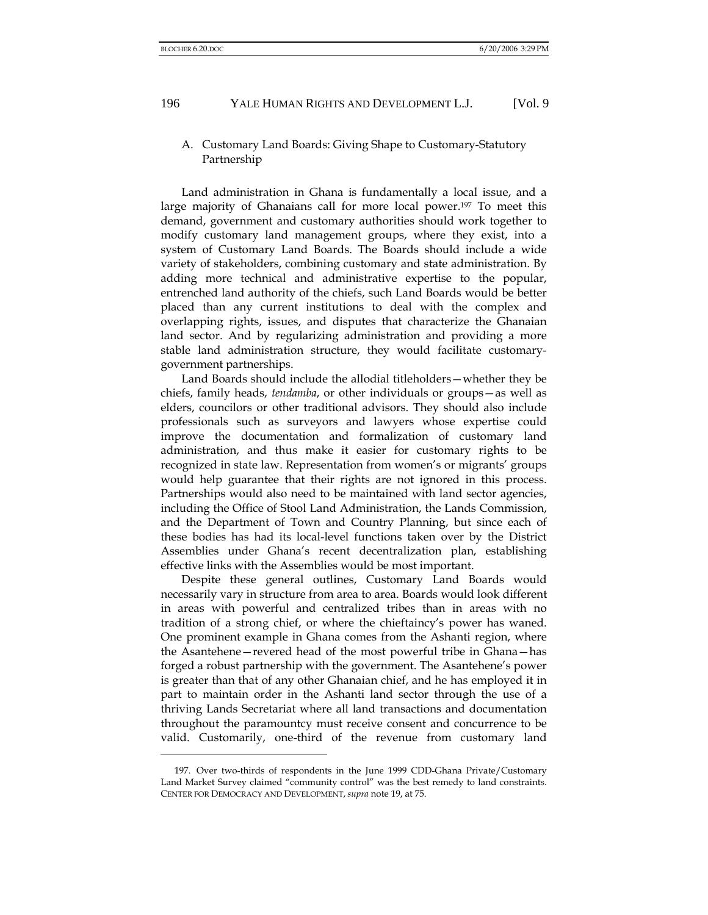## A. Customary Land Boards: Giving Shape to Customary-Statutory Partnership

Land administration in Ghana is fundamentally a local issue, and a large majority of Ghanaians call for more local power.<sup>197</sup> To meet this demand, government and customary authorities should work together to modify customary land management groups, where they exist, into a system of Customary Land Boards. The Boards should include a wide variety of stakeholders, combining customary and state administration. By adding more technical and administrative expertise to the popular, entrenched land authority of the chiefs, such Land Boards would be better placed than any current institutions to deal with the complex and overlapping rights, issues, and disputes that characterize the Ghanaian land sector. And by regularizing administration and providing a more stable land administration structure, they would facilitate customarygovernment partnerships.

Land Boards should include the allodial titleholders—whether they be chiefs, family heads, *tendamba*, or other individuals or groups—as well as elders, councilors or other traditional advisors. They should also include professionals such as surveyors and lawyers whose expertise could improve the documentation and formalization of customary land administration, and thus make it easier for customary rights to be recognized in state law. Representation from women's or migrants' groups would help guarantee that their rights are not ignored in this process. Partnerships would also need to be maintained with land sector agencies, including the Office of Stool Land Administration, the Lands Commission, and the Department of Town and Country Planning, but since each of these bodies has had its local-level functions taken over by the District Assemblies under Ghana's recent decentralization plan, establishing effective links with the Assemblies would be most important.

Despite these general outlines, Customary Land Boards would necessarily vary in structure from area to area. Boards would look different in areas with powerful and centralized tribes than in areas with no tradition of a strong chief, or where the chieftaincy's power has waned. One prominent example in Ghana comes from the Ashanti region, where the Asantehene—revered head of the most powerful tribe in Ghana—has forged a robust partnership with the government. The Asantehene's power is greater than that of any other Ghanaian chief, and he has employed it in part to maintain order in the Ashanti land sector through the use of a thriving Lands Secretariat where all land transactions and documentation throughout the paramountcy must receive consent and concurrence to be valid. Customarily, one-third of the revenue from customary land

<sup>197.</sup> Over two-thirds of respondents in the June 1999 CDD-Ghana Private/Customary Land Market Survey claimed "community control" was the best remedy to land constraints. CENTER FOR DEMOCRACY AND DEVELOPMENT, *supra* note 19, at 75.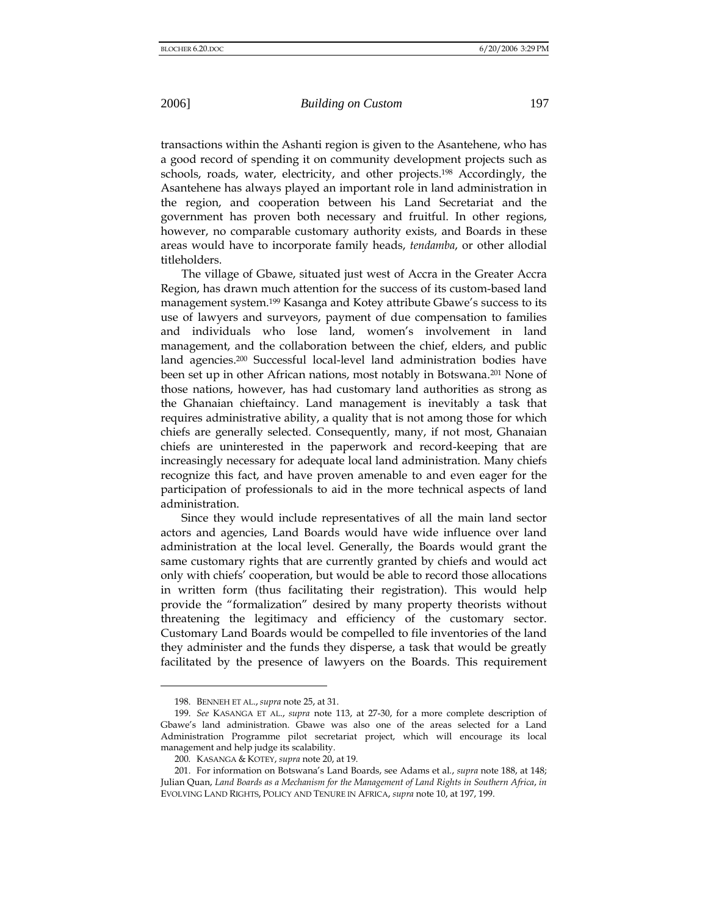transactions within the Ashanti region is given to the Asantehene, who has a good record of spending it on community development projects such as schools, roads, water, electricity, and other projects.<sup>198</sup> Accordingly, the Asantehene has always played an important role in land administration in the region, and cooperation between his Land Secretariat and the government has proven both necessary and fruitful. In other regions, however, no comparable customary authority exists, and Boards in these areas would have to incorporate family heads, *tendamba*, or other allodial titleholders.

The village of Gbawe, situated just west of Accra in the Greater Accra Region, has drawn much attention for the success of its custom-based land management system.199 Kasanga and Kotey attribute Gbawe's success to its use of lawyers and surveyors, payment of due compensation to families and individuals who lose land, women's involvement in land management, and the collaboration between the chief, elders, and public land agencies.200 Successful local-level land administration bodies have been set up in other African nations, most notably in Botswana.<sup>201</sup> None of those nations, however, has had customary land authorities as strong as the Ghanaian chieftaincy. Land management is inevitably a task that requires administrative ability, a quality that is not among those for which chiefs are generally selected. Consequently, many, if not most, Ghanaian chiefs are uninterested in the paperwork and record-keeping that are increasingly necessary for adequate local land administration. Many chiefs recognize this fact, and have proven amenable to and even eager for the participation of professionals to aid in the more technical aspects of land administration.

Since they would include representatives of all the main land sector actors and agencies, Land Boards would have wide influence over land administration at the local level. Generally, the Boards would grant the same customary rights that are currently granted by chiefs and would act only with chiefs' cooperation, but would be able to record those allocations in written form (thus facilitating their registration). This would help provide the "formalization" desired by many property theorists without threatening the legitimacy and efficiency of the customary sector. Customary Land Boards would be compelled to file inventories of the land they administer and the funds they disperse, a task that would be greatly facilitated by the presence of lawyers on the Boards. This requirement

<sup>198.</sup> BENNEH ET AL., *supra* note 25, at 31.

<sup>199.</sup> *See* KASANGA ET AL., *supra* note 113, at 27-30, for a more complete description of Gbawe's land administration. Gbawe was also one of the areas selected for a Land Administration Programme pilot secretariat project, which will encourage its local management and help judge its scalability.

<sup>200</sup>*.* KASANGA & KOTEY, *supra* note 20, at 19.

<sup>201.</sup> For information on Botswana's Land Boards, see Adams et al*.*, *supra* note 188, at 148; Julian Quan, *Land Boards as a Mechanism for the Management of Land Rights in Southern Africa*, *in*  EVOLVING LAND RIGHTS, POLICY AND TENURE IN AFRICA, *supra* note 10, at 197, 199.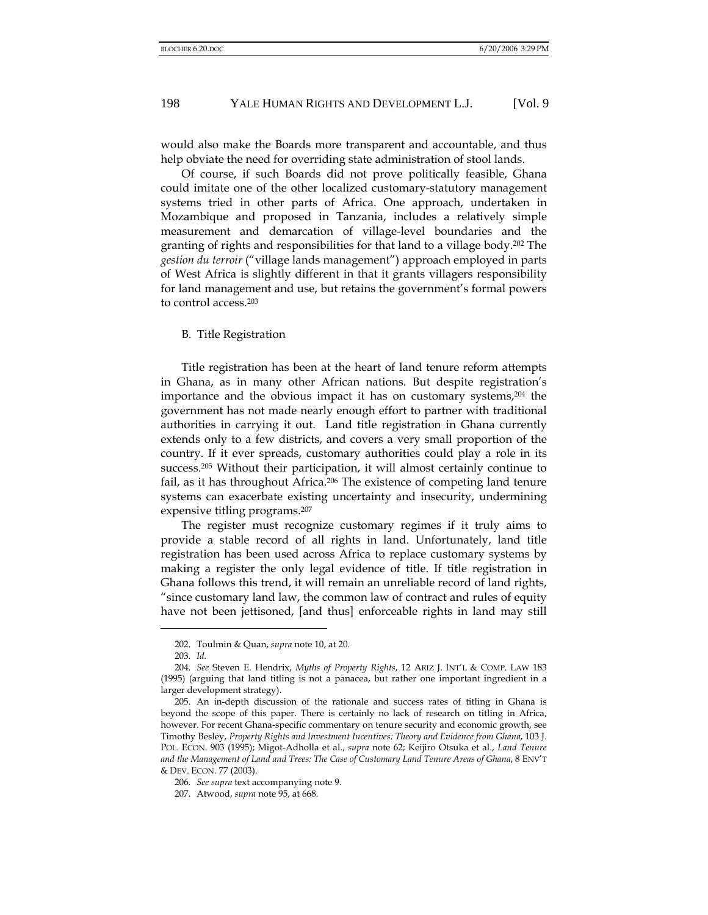would also make the Boards more transparent and accountable, and thus help obviate the need for overriding state administration of stool lands.

Of course, if such Boards did not prove politically feasible, Ghana could imitate one of the other localized customary-statutory management systems tried in other parts of Africa. One approach, undertaken in Mozambique and proposed in Tanzania, includes a relatively simple measurement and demarcation of village-level boundaries and the granting of rights and responsibilities for that land to a village body.202 The *gestion du terroir* ("village lands management") approach employed in parts of West Africa is slightly different in that it grants villagers responsibility for land management and use, but retains the government's formal powers to control access.203

#### B. Title Registration

Title registration has been at the heart of land tenure reform attempts in Ghana, as in many other African nations. But despite registration's importance and the obvious impact it has on customary systems,204 the government has not made nearly enough effort to partner with traditional authorities in carrying it out. Land title registration in Ghana currently extends only to a few districts, and covers a very small proportion of the country. If it ever spreads, customary authorities could play a role in its success.205 Without their participation, it will almost certainly continue to fail, as it has throughout Africa.<sup>206</sup> The existence of competing land tenure systems can exacerbate existing uncertainty and insecurity, undermining expensive titling programs.207

The register must recognize customary regimes if it truly aims to provide a stable record of all rights in land. Unfortunately, land title registration has been used across Africa to replace customary systems by making a register the only legal evidence of title. If title registration in Ghana follows this trend, it will remain an unreliable record of land rights, "since customary land law, the common law of contract and rules of equity have not been jettisoned, [and thus] enforceable rights in land may still

<sup>202.</sup> Toulmin & Quan, *supra* note 10, at 20.

<sup>203</sup>*. Id.*

<sup>204</sup>*. See* Steven E. Hendrix, *Myths of Property Rights*, 12 ARIZ J. INT'L & COMP. LAW 183 (1995) (arguing that land titling is not a panacea, but rather one important ingredient in a larger development strategy).

<sup>205.</sup> An in-depth discussion of the rationale and success rates of titling in Ghana is beyond the scope of this paper. There is certainly no lack of research on titling in Africa, however. For recent Ghana-specific commentary on tenure security and economic growth, see Timothy Besley, *Property Rights and Investment Incentives: Theory and Evidence from Ghana*, 103 J. POL. ECON. 903 (1995); Migot-Adholla et al., *supra* note 62; Keijiro Otsuka et al., *Land Tenure and the Management of Land and Trees: The Case of Customary Land Tenure Areas of Ghana*, 8 ENV'T & DEV. ECON. 77 (2003).

<sup>206</sup>*. See supra* text accompanying note 9.

<sup>207.</sup> Atwood, *supra* note 95, at 668.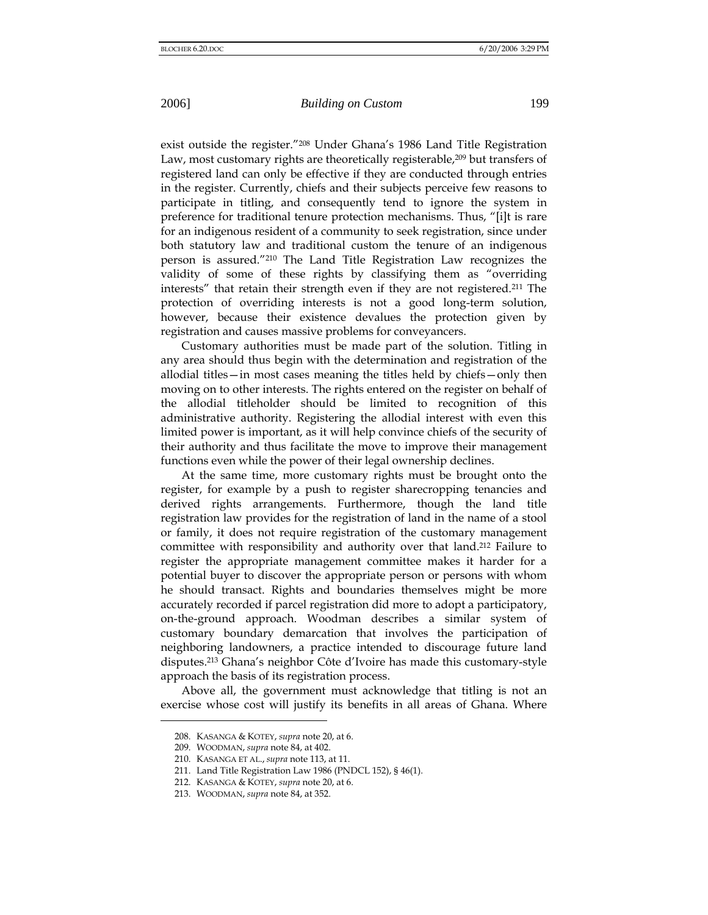exist outside the register."208 Under Ghana's 1986 Land Title Registration Law, most customary rights are theoretically registerable,<sup>209</sup> but transfers of registered land can only be effective if they are conducted through entries in the register. Currently, chiefs and their subjects perceive few reasons to participate in titling, and consequently tend to ignore the system in preference for traditional tenure protection mechanisms. Thus, "[i]t is rare for an indigenous resident of a community to seek registration, since under both statutory law and traditional custom the tenure of an indigenous person is assured."210 The Land Title Registration Law recognizes the validity of some of these rights by classifying them as "overriding interests" that retain their strength even if they are not registered.211 The protection of overriding interests is not a good long-term solution, however, because their existence devalues the protection given by registration and causes massive problems for conveyancers.

Customary authorities must be made part of the solution. Titling in any area should thus begin with the determination and registration of the allodial titles—in most cases meaning the titles held by chiefs—only then moving on to other interests. The rights entered on the register on behalf of the allodial titleholder should be limited to recognition of this administrative authority. Registering the allodial interest with even this limited power is important, as it will help convince chiefs of the security of their authority and thus facilitate the move to improve their management functions even while the power of their legal ownership declines.

At the same time, more customary rights must be brought onto the register, for example by a push to register sharecropping tenancies and derived rights arrangements. Furthermore, though the land title registration law provides for the registration of land in the name of a stool or family, it does not require registration of the customary management committee with responsibility and authority over that land.212 Failure to register the appropriate management committee makes it harder for a potential buyer to discover the appropriate person or persons with whom he should transact. Rights and boundaries themselves might be more accurately recorded if parcel registration did more to adopt a participatory, on-the-ground approach. Woodman describes a similar system of customary boundary demarcation that involves the participation of neighboring landowners, a practice intended to discourage future land disputes.213 Ghana's neighbor Côte d'Ivoire has made this customary-style approach the basis of its registration process.

Above all, the government must acknowledge that titling is not an exercise whose cost will justify its benefits in all areas of Ghana. Where

<sup>208.</sup> KASANGA & KOTEY, *supra* note 20, at 6.

<sup>209.</sup> WOODMAN, *supra* note 84, at 402.

<sup>210.</sup> KASANGA ET AL., *supra* note 113, at 11.

<sup>211.</sup> Land Title Registration Law 1986 (PNDCL 152), § 46(1).

<sup>212.</sup> KASANGA & KOTEY, *supra* note 20, at 6.

<sup>213.</sup> WOODMAN, *supra* note 84, at 352.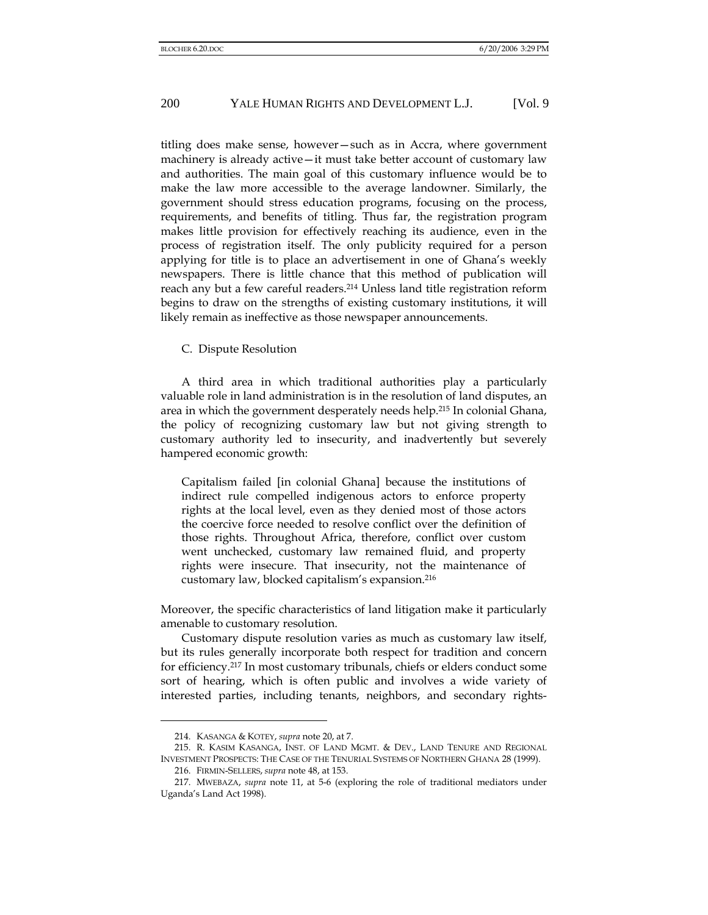titling does make sense, however—such as in Accra, where government machinery is already active—it must take better account of customary law and authorities. The main goal of this customary influence would be to make the law more accessible to the average landowner. Similarly, the government should stress education programs, focusing on the process, requirements, and benefits of titling. Thus far, the registration program makes little provision for effectively reaching its audience, even in the process of registration itself. The only publicity required for a person applying for title is to place an advertisement in one of Ghana's weekly newspapers. There is little chance that this method of publication will reach any but a few careful readers.214 Unless land title registration reform begins to draw on the strengths of existing customary institutions, it will likely remain as ineffective as those newspaper announcements.

C. Dispute Resolution

A third area in which traditional authorities play a particularly valuable role in land administration is in the resolution of land disputes, an area in which the government desperately needs help.215 In colonial Ghana, the policy of recognizing customary law but not giving strength to customary authority led to insecurity, and inadvertently but severely hampered economic growth:

Capitalism failed [in colonial Ghana] because the institutions of indirect rule compelled indigenous actors to enforce property rights at the local level, even as they denied most of those actors the coercive force needed to resolve conflict over the definition of those rights. Throughout Africa, therefore, conflict over custom went unchecked, customary law remained fluid, and property rights were insecure. That insecurity, not the maintenance of customary law, blocked capitalism's expansion.216

Moreover, the specific characteristics of land litigation make it particularly amenable to customary resolution.

Customary dispute resolution varies as much as customary law itself, but its rules generally incorporate both respect for tradition and concern for efficiency.217 In most customary tribunals, chiefs or elders conduct some sort of hearing, which is often public and involves a wide variety of interested parties, including tenants, neighbors, and secondary rights-

<sup>214.</sup> KASANGA & KOTEY, *supra* note 20, at 7.

<sup>215.</sup> R. KASIM KASANGA, INST. OF LAND MGMT. & DEV., LAND TENURE AND REGIONAL INVESTMENT PROSPECTS: THE CASE OF THE TENURIAL SYSTEMS OF NORTHERN GHANA 28 (1999).

<sup>216.</sup> FIRMIN-SELLERS, *supra* note 48, at 153.

<sup>217.</sup> MWEBAZA, *supra* note 11, at 5-6 (exploring the role of traditional mediators under Uganda's Land Act 1998).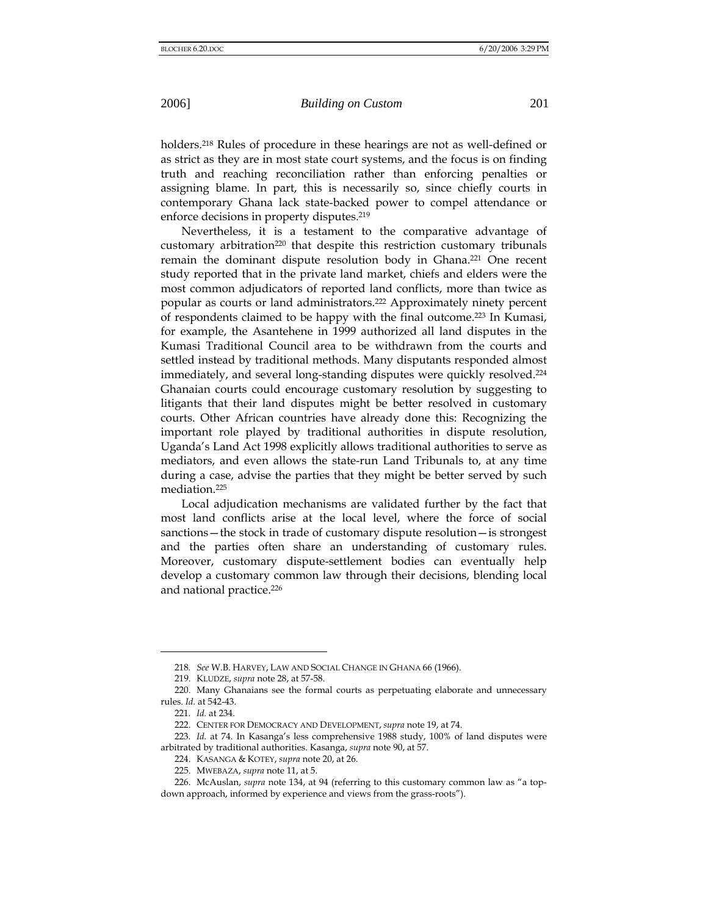holders.<sup>218</sup> Rules of procedure in these hearings are not as well-defined or as strict as they are in most state court systems, and the focus is on finding truth and reaching reconciliation rather than enforcing penalties or assigning blame. In part, this is necessarily so, since chiefly courts in contemporary Ghana lack state-backed power to compel attendance or enforce decisions in property disputes.<sup>219</sup>

Nevertheless, it is a testament to the comparative advantage of customary arbitration<sup>220</sup> that despite this restriction customary tribunals remain the dominant dispute resolution body in Ghana.221 One recent study reported that in the private land market, chiefs and elders were the most common adjudicators of reported land conflicts, more than twice as popular as courts or land administrators.222 Approximately ninety percent of respondents claimed to be happy with the final outcome.223 In Kumasi, for example, the Asantehene in 1999 authorized all land disputes in the Kumasi Traditional Council area to be withdrawn from the courts and settled instead by traditional methods. Many disputants responded almost immediately, and several long-standing disputes were quickly resolved.<sup>224</sup> Ghanaian courts could encourage customary resolution by suggesting to litigants that their land disputes might be better resolved in customary courts. Other African countries have already done this: Recognizing the important role played by traditional authorities in dispute resolution, Uganda's Land Act 1998 explicitly allows traditional authorities to serve as mediators, and even allows the state-run Land Tribunals to, at any time during a case, advise the parties that they might be better served by such mediation.225

Local adjudication mechanisms are validated further by the fact that most land conflicts arise at the local level, where the force of social sanctions—the stock in trade of customary dispute resolution—is strongest and the parties often share an understanding of customary rules. Moreover, customary dispute-settlement bodies can eventually help develop a customary common law through their decisions, blending local and national practice.<sup>226</sup>

<sup>218</sup>*. See* W.B. HARVEY, LAW AND SOCIAL CHANGE IN GHANA 66 (1966).

<sup>219.</sup> KLUDZE, *supra* note 28, at 57-58.

<sup>220.</sup> Many Ghanaians see the formal courts as perpetuating elaborate and unnecessary rules. *Id.* at 542-43.

<sup>221</sup>*. Id.* at 234.

<sup>222.</sup> CENTER FOR DEMOCRACY AND DEVELOPMENT, *supra* note 19, at 74.

<sup>223</sup>*. Id.* at 74. In Kasanga's less comprehensive 1988 study, 100% of land disputes were arbitrated by traditional authorities. Kasanga, *supra* note 90, at 57.

<sup>224.</sup> KASANGA & KOTEY, *supra* note 20, at 26.

<sup>225.</sup> MWEBAZA, *supra* note 11, at 5.

<sup>226.</sup> McAuslan, *supra* note 134, at 94 (referring to this customary common law as "a topdown approach, informed by experience and views from the grass-roots").